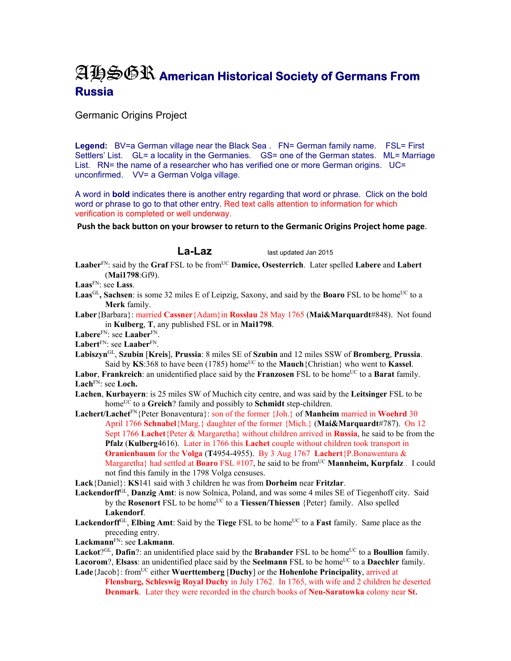# AHSGR **American Historical Society of Germans From Russia**

## Germanic Origins Project

**Legend:** BV=a German village near the Black Sea . FN= German family name. FSL= First Settlers' List. GL= a locality in the Germanies. GS= one of the German states. ML= Marriage List. RN= the name of a researcher who has verified one or more German origins. UC= unconfirmed. VV= a German Volga village.

A word in **bold** indicates there is another entry regarding that word or phrase. Click on the bold word or phrase to go to that other entry. Red text calls attention to information for which verification is completed or well underway.

**Push the back button on your browser to return to the Germanic Origins Project home page**.

**La-Laz** last updated Jan 2015

**Laaber**FN: said by the **Graf** FSL to be fromUC **Damice, Osesterrich**. Later spelled **Labere** and **Labert** (**Mai1798**:Gf9).

**Laas**FN: see **Lass**.

- **Laas**<sup>GL</sup>, Sachsen: is some 32 miles E of Leipzig, Saxony, and said by the **Boaro** FSL to be home<sup>UC</sup> to a **Merk** family.
- **Laber**{Barbara}: married **Cassner**{Adam}in **Rosslau** 28 May 1765 (**Mai&Marquardt**#848). Not found in **Kulberg**, **T**, any published FSL or in **Mai1798**.
- **Labere**FN: see **Laaber**FN.
- **Labert**FN: see **Laaber**FN.
- **Labiszyn**GL, **Szubin** [**Kreis**], **Prussia**: 8 miles SE of **Szubin** and 12 miles SSW of **Bromberg**, **Prussia**. Said by  $KS:368$  to have been (1785) home<sup>UC</sup> to the **Mauch** {Christian} who went to **Kassel**.
- **Labor, Frankreich**: an unidentified place said by the **Franzosen** FSL to be home<sup>UC</sup> to a **Barat** family. **Lach**FN: see **Loch.**
- **Lachen**, **Kurbayern**: is 25 miles SW of Muchich city centre, and was said by the **Leitsinger** FSL to be homeUC to a **Greich**? family and possibly to **Schmidt** step-children.
- **Lachert/Lachet**FN{Peter Bonaventura}: son of the former {Joh.} of **Manheim** married in **Woehrd** 30 April 1766 **Schnabel**{Marg.} daughter of the former {Mich.} (**Mai&Marquardt**#787). On 12 Sept 1766 **Lachet**{Peter & Margaretha} without children arrived in **Russia**, he said to be from the **Pfalz** (**Kulberg**4616). Later in 1766 this **Lachet** couple without children took transport in **Oranienbaum** for the **Volga** (**T**4954-4955). By 3 Aug 1767 **Lachert**{P.Bonawentura & Margaretha} had settled at **Boaro** FSL #107, he said to be from<sup>UC</sup> **Mannheim, Kurpfalz** . I could not find this family in the 1798 Volga censuses.
- **Lack**{Daniel}: **KS**141 said with 3 children he was from **Dorheim** near **Fritzlar**.
- **Lackendorff**GL, **Danzig Amt**: is now Solnica, Poland, and was some 4 miles SE of Tiegenhoff city. Said by the **Rosenort** FSL to be home<sup>UC</sup> to a **Tiessen/Thiessen** {Peter} family. Also spelled **Lakendorf**.
- Lackendorff<sup>GL</sup>, Elbing Amt: Said by the Tiege FSL to be home<sup>UC</sup> to a Fast family. Same place as the preceding entry.
- **Lackmann**FN: see **Lakmann**.
- Lackot?<sup>GL</sup>, **Dafin**?: an unidentified place said by the **Brabander** FSL to be home<sup>UC</sup> to a **Boullion** family.
- **Lacorom?, Elsass:** an unidentified place said by the **Seelmann** FSL to be home<sup>UC</sup> to a **Daechler** family. Lade {Jacob}: from<sup>UC</sup> either **Wuerttemberg** [Duchy] or the **Hohenlohe Principality**, arrived at
	- **Flensburg, Schleswig Royal Duchy** in July 1762. In 1765, with wife and 2 children he deserted **Denmark**. Later they were recorded in the church books of **Neu-Saratowka** colony near **St.**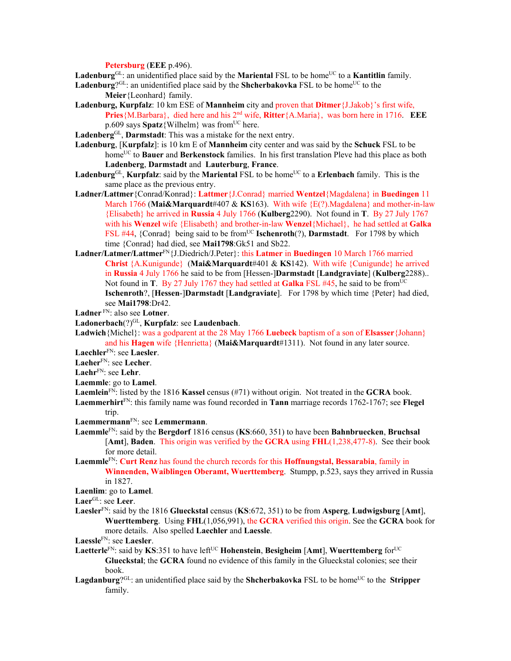**Petersburg** (**EEE** p.496).

Ladenburg<sup>GL</sup>: an unidentified place said by the **Mariental** FSL to be home<sup>UC</sup> to a **Kantitlin** family. **Ladenburg**? $GL:$  an unidentified place said by the **Shcherbakovka** FSL to be home<sup>UC</sup> to the

**Meier**{Leonhard} family.

- **Ladenburg, Kurpfalz**: 10 km ESE of **Mannheim** city and proven that **Ditmer**{J.Jakob}'s first wife, **Pries**{M.Barbara}, died here and his 2nd wife, **Ritter**{A.Maria}, was born here in 1716. **EEE** p.609 says **Spatz**{Wilhelm} was from<sup>UC</sup> here.
- **Ladenberg**GL, **Darmstadt**: This was a mistake for the next entry.
- **Ladenburg**, [K**urpfalz**]: is 10 km E of **Mannheim** city center and was said by the **Schuck** FSL to be home<sup>UC</sup> to **Bauer** and **Berkenstock** families. In his first translation Pleve had this place as both **Ladenberg**, **Darmstadt** and **Lauterburg**, **France**.
- Ladenburg<sup>GL</sup>, **Kurpfalz**: said by the **Mariental** FSL to be home<sup>UC</sup> to a **Erlenbach** family. This is the same place as the previous entry.
- **Ladner/Lattmer**{Conrad/Konrad}: **Lattmer**{J.Conrad} married **Wentzel**{Magdalena} in **Buedingen** 11 March 1766 (**Mai&Marquardt**#407 & **KS**163). With wife {E(?).Magdalena} and mother-in-law {Elisabeth} he arrived in **Russia** 4 July 1766 (**Kulberg**2290). Not found in **T**. By 27 July 1767 with his **Wenzel** wife {Elisabeth} and brother-in-law **Wenzel**{Michael}, he had settled at **Galka** FSL #44, {Conrad} being said to be from<sup>UC</sup> **Ischenroth**(?), **Darmstadt**. For 1798 by which time {Conrad} had died, see **Mai1798**:Gk51 and Sb22.
- **Ladner/Latmer/Lattmer**FN{J.Diedrich/J.Peter}: this **Latmer** in **Buedingen** 10 March 1766 married **Christ** {A.Kunigunde} (**Mai&Marquardt**#401 & **KS**142). With wife {Cunigunde} he arrived in **Russia** 4 July 1766 he said to be from [Hessen-]**Darmstadt** [**Landgraviate**] (**Kulberg**2288).. Not found in **T**. By 27 July 1767 they had settled at **Galka** FSL #45, he said to be from<sup>UC</sup> **Ischenroth**?, [**Hessen**-]**Darmstadt** [**Landgraviate**]. For 1798 by which time {Peter} had died, see **Mai1798**:Dr42.
- **Ladner** FN: also see **Lotner**.
- **Ladonerbach**(?)GL, **Kurpfalz**: see **Laudenbach**.
- **Ladwich**{Michel}: was a godparent at the 28 May 1766 **Luebeck** baptism of a son of **Elsasser**{Johann} and his **Hagen** wife {Henrietta} (**Mai&Marquardt**#1311). Not found in any later source.
- **Laechler**FN: see **Laesler**.
- **Laeher**FN: see **Lecher**.
- **Laehr**FN: see **Lehr**.
- **Laemmle**: go to **Lamel**.
- **Laemlein**FN: listed by the 1816 **Kassel** census (#71) without origin. Not treated in the **GCRA** book.
- **Laemmerhirt**FN: this family name was found recorded in **Tann** marriage records 1762-1767; see **Flegel** trip.

**Laemmermann**FN: see **Lemmermann**.

- **Laemmle**FN: said by the **Bergdorf** 1816 census (**KS**:660, 351) to have been **Bahnbruecken**, **Bruchsal** [**Amt**], **Baden**. This origin was verified by the **GCRA** using **FHL**(1,238,477-8). See their book for more detail.
- **Laemmle**FN: **Curt Renz** has found the church records for this **Hoffnungstal, Bessarabia**, family in **Winnenden, Waiblingen Oberamt, Wuerttemberg**. Stumpp, p.523, says they arrived in Russia in 1827.

**Laenlim**: go to **Lamel**.

- **Laer**GL: see **Leer**.
- **Laesler**FN: said by the 1816 **Glueckstal** census (**KS**:672, 351) to be from **Asperg**, **Ludwigsburg** [**Amt**], **Wuerttemberg**. Using **FHL**(1,056,991), the **GCRA** verified this origin. See the **GCRA** book for more details.Also spelled **Laechler** and **Laessle**.

- **Laetterle**<sup>FN</sup>: said by **KS**:351 to have left<sup>UC</sup> **Hohenstein**, **Besigheim** [Amt], **Wuerttemberg** for<sup>UC</sup> **Glueckstal**; the **GCRA** found no evidence of this family in the Glueckstal colonies; see their book.
- Lagdanburg<sup>?GL</sup>: an unidentified place said by the **Shcherbakovka** FSL to be home<sup>UC</sup> to the **Stripper** family.

**Laessle**FN: see **Laesler**.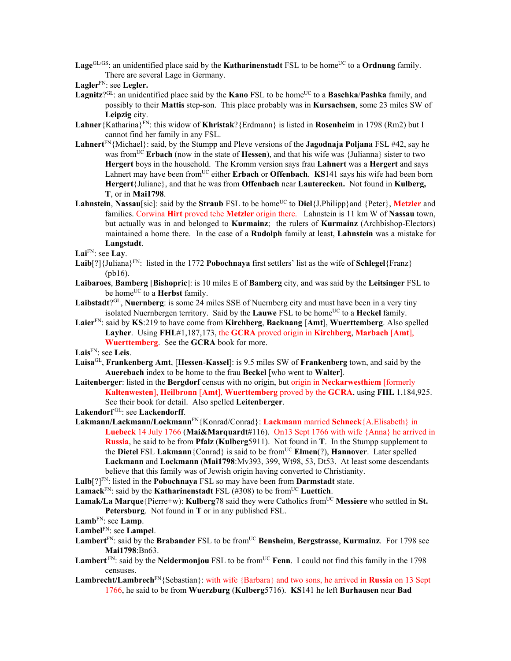**Lage**<sup>GL/GS</sup>: an unidentified place said by the **Katharinenstadt** FSL to be home<sup>UC</sup> to a **Ordnung** family. There are several Lage in Germany.

- **Lagler**FN: see **Legler.**
- Lagnitz<sup>?GL</sup>: an unidentified place said by the **Kano** FSL to be home<sup>UC</sup> to a **Baschka/Pashka** family, and possibly to their **Mattis** step-son. This place probably was in **Kursachsen**, some 23 miles SW of **Leipzig** city.
- **Lahner**{Katharina}FN: this widow of **Khristak**?{Erdmann} is listed in **Rosenheim** in 1798 (Rm2) but I cannot find her family in any FSL.
- **Lahnert**FN{Michael}: said, by the Stumpp and Pleve versions of the **Jagodnaja Poljana** FSL #42, say he was fromUC **Erbach** (now in the state of **Hessen**), and that his wife was {Julianna} sister to two **Hergert** boys in the household.The Kromm version says frau **Lahnert** was a **Hergert** and says Lahnert may have been from<sup>UC</sup> either **Erbach** or **Offenbach**. **KS**141 says his wife had been born **Hergert**{Juliane}, and that he was from **Offenbach** near **Lauterecken.** Not found in **Kulberg, T**, or in **Mai1798**.
- Lahnstein, Nassau<sup>[sic]:</sup> said by the **Straub** FSL to be home<sup>UC</sup> to **Diel**{J.Philipp}and {Peter}, **Metzler** and families. Corwina **Hirt** proved tehe **Metzler** origin there. Lahnstein is 11 km W of **Nassau** town, but actually was in and belonged to **Kurmainz**; the rulers of **Kurmainz** (Archbishop-Electors) maintained a home there. In the case of a **Rudolph** family at least, **Lahnstein** was a mistake for **Langstadt**.

**Lai**FN: see **Lay**.

- **Laib**[?]{Juliana}<sup>FN</sup>: listed in the 1772 **Pobochnaya** first settlers' list as the wife of **Schlegel**{Franz} (pb16).
- **Laibaroes**, **Bamberg** [**Bishopric**]: is 10 miles E of **Bamberg** city, and was said by the **Leitsinger** FSL to be home<sup>UC</sup> to a **Herbst** family.
- **Laibstadt**?GL, **Nuernberg**: is some 24 miles SSE of Nuernberg city and must have been in a very tiny isolated Nuernbergen territory. Said by the **Lauwe** FSL to be home<sup>UC</sup> to a **Heckel** family.
- **Laier**FN: said by **KS**:219 to have come from **Kirchberg**, **Backnang** [**Amt**], **Wuerttemberg**. Also spelled **Layher**. Using **FHL**#1,187,173, the **GCRA** proved origin in **Kirchberg**, **Marbach** [**Amt**], **Wuerttemberg**. See the **GCRA** book for more.

**Lais**FN: see **Leis**.

- **Laisa**GL, **Frankenberg Amt**, [**Hessen**-**Kassel**]: is 9.5 miles SW of **Frankenberg** town, and said by the **Auerebach** index to be home to the frau **Beckel** [who went to **Walter**].
- **Laitenberger**: listed in the **Bergdorf** census with no origin, but origin in **Neckarwesthiem** [formerly **Kaltenwesten**], **Heilbronn** [**Amt**], **Wuerttemberg** proved by the **GCRA**, using **FHL** 1,184,925. See their book for detail. Also spelled **Leitenberger**.

**Lakendorf** GL: see **Lackendorff**.

**Lakmann/Lackmann/Lockmann**FN{Konrad/Conrad}: **Lackmann** married **Schneck**{A.Elisabeth} in **Luebeck** 14 July 1766 (**Mai&Marquardt**#116). On13 Sept 1766 with wife {Anna} he arrived in **Russia**, he said to be from **Pfalz** (**Kulberg**5911). Not found in **T**. In the Stumpp supplement to the **Dietel** FSL **Lakmann**{Conrad} is said to be fromUC **Elmen**(?), **Hannover**. Later spelled **Lackmann** and **Lockmann** (**Mai1798**:Mv393, 399, Wt98, 53, Dt53. At least some descendants believe that this family was of Jewish origin having converted to Christianity.

**Lalb**[?]FN: listed in the **Pobochnaya** FSL so may have been from **Darmstadt** state.

- **Lamack**<sup>FN</sup>: said by the **Katharinenstadt** FSL (#308) to be from<sup>UC</sup> Luettich.
- **Lamak/La Marque**{Pierre+w): **Kulberg**78 said they were Catholics from<sup>UC</sup> Messiere who settled in St. **Petersburg**. Not found in **T** or in any published FSL.
- **Lamb**FN: see **Lamp**.
- **Lambel**FN: see **Lampel**.
- Lambert<sup>FN</sup>: said by the **Brabander** FSL to be from<sup>UC</sup> Bensheim, Bergstrasse, Kurmainz. For 1798 see **Mai1798**:Bn63.
- **Lambert**  $F_N$ : said by the **Neidermonjou** FSL to be from<sup>UC</sup> **Fenn**. I could not find this family in the 1798 censuses.
- **Lambrecht/Lambrech**FN{Sebastian}: with wife {Barbara} and two sons, he arrived in **Russia** on 13 Sept 1766, he said to be from **Wuerzburg** (**Kulberg**5716). **KS**141 he left **Burhausen** near **Bad**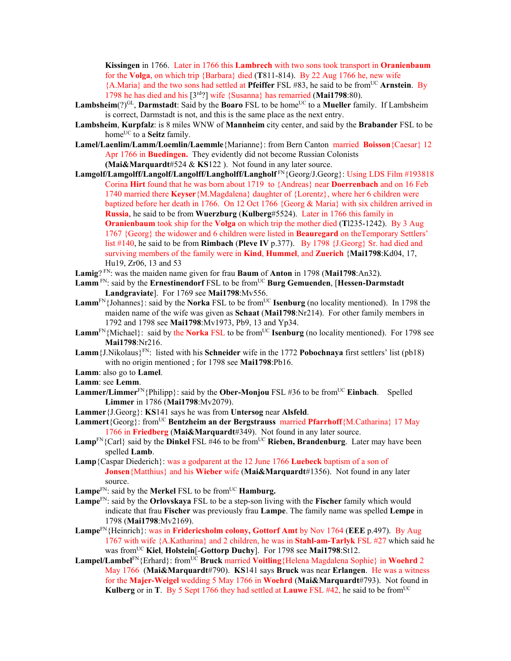**Kissingen** in 1766. Later in 1766 this **Lambrech** with two sons took transport in **Oranienbaum**  for the **Volga**, on which trip {Barbara} died (**T**811-814). By 22 Aug 1766 he, new wife {A.Maria} and the two sons had settled at **Pfeiffer** FSL #83, he said to be fromUC **Arnstein**. By 1798 he has died and his [3rd?] wife {Susanna} has remarried (**Mai1798**:80).

- **Lambsheim**(?)<sup>GL</sup>, **Darmstadt**: Said by the **Boaro** FSL to be home<sup>UC</sup> to a **Mueller** family. If Lambsheim is correct, Darmstadt is not, and this is the same place as the next entry.
- **Lambsheim**, **Kurpfalz**: is 8 miles WNW of **Mannheim** city center, and said by the **Brabander** FSL to be home<sup>UC</sup> to a **Seitz** family.
- **Lamel/Laenlim/Lamm/Loemlin/Laemmle**{Marianne}: from Bern Canton married **Boisson**{Caesar} 12 Apr 1766 in **Buedingen.** They evidently did not become Russian Colonists **(Mai&Marquardt**#524 & **KS**122 ). Not found in any later source.
- Lamgolf/Lamgolff/Langolff/Langolff/Langholff/Langholf<sup>FN</sup>{Georg/J.Georg}: Using LDS Film #193818 Corina **Hirt** found that he was born about 1719 to {Andreas} near **Doerrenbach** and on 16 Feb 1740 married there **Keyser**{M.Magdalena} daughter of {Lorentz}, where her 6 children were baptized before her death in 1766. On 12 Oct 1766 {Georg & Maria} with six children arrived in **Russia**, he said to be from **Wuerzburg** (**Kulberg**#5524). Later in 1766 this family in **Oranienbaum** took ship for the **Volga** on which trip the mother died (**T**l235-1242). By 3 Aug 1767 {Georg} the widower and 6 children were listed in **Beauregard** on theTemporary Settlers' list #140, he said to be from **Rimbach** (**Pleve IV** p.377).By 1798 {J.Georg} Sr. had died and surviving members of the family were in **Kind**, **Hummel**, and **Zuerich** {**Mai1798**:Kd04, 17, Hu19, Zr06, 13 and 53
- **Lamig**? FN: was the maiden name given for frau **Baum** of **Anton** in 1798 (**Mai1798**:An32).
- **Lamm** FN: said by the **Ernestinendorf** FSL to be fromUC **Burg Gemuenden**, [**Hessen-Darmstadt Landgraviate**]. For 1769 see **Mai1798**:Mv556.
- Lamm<sup>FN</sup>{Johannes}: said by the **Norka** FSL to be from<sup>UC</sup> **Isenburg** (no locality mentioned). In 1798 the maiden name of the wife was given as **Schaat** (**Mai1798**:Nr214). For other family members in 1792 and 1798 see **Mai1798**:Mv1973, Pb9, 13 and Yp34.
- **Lamm**<sup>FN</sup>{Michael}: said by the **Norka** FSL to be from<sup>UC</sup> **Isenburg** (no locality mentioned). For 1798 see **Mai1798**:Nr216.
- **Lamm**{J.Nikolaus}FN: listed with his **Schneider** wife in the 1772 **Pobochnaya** first settlers' list (pb18) with no origin mentioned ; for 1798 see **Mai1798**:Pb16.
- **Lamm**: also go to **Lamel**.
- **Lamm**: see **Lemm**.
- **Lammer/Limmer**<sup>FN</sup>{Philipp}: said by the **Ober-Monjou** FSL #36 to be from<sup>UC</sup> **Einbach**. Spelled **Limmer** in 1786 (**Mai1798**:Mv2079).
- **Lammer**{J.Georg}: **KS**141 says he was from **Untersog** near **Alsfeld**.
- **Lammert**{Georg}: fromUC **Bentzheim an der Bergstrauss** married **Pfarrhoff**{M.Catharina} 17 May 1766 in **Friedberg** (**Mai&Marquardt**#349). Not found in any later source.
- **Lamp**<sup>FN</sup>{Carl} said by the **Dinkel** FSL  $#46$  to be from<sup>UC</sup> **Rieben, Brandenburg**. Later may have been spelled **Lamb**.
- **Lamp**{Caspar Diederich}: was a godparent at the 12 June 1766 **Luebeck** baptism of a son of **Jonsen**{Matthius} and his **Wieber** wife (**Mai&Marquardt**#1356). Not found in any later source.
- Lampe<sup>FN</sup>: said by the **Merkel** FSL to be from<sup>UC</sup> **Hamburg.**
- **Lampe**FN: said by the **Orlovskaya** FSL to be a step-son living with the **Fischer** family which would indicate that frau **Fischer** was previously frau **Lampe**. The family name was spelled **Lempe** in 1798 (**Mai1798**:Mv2169).
- **Lampe**FN{Heinrich}: was in **Fridericsholm colony, Gottorf Amt** by Nov 1764 (**EEE** p.497). By Aug 1767 with wife {A.Katharina} and 2 children, he was in **Stahl-am-Tarlyk** FSL #27 which said he was fromUC **Kiel**, **Holstein**[-**Gottorp Duchy**]. For 1798 see **Mai1798**:St12.
- Lampel/Lambel<sup>FN</sup>{Erhard}: from<sup>UC</sup> **Bruck** married **Voitling**{Helena Magdalena Sophie} in **Woehrd** 2 May 1766 (**Mai&Marquardt**#790). **KS**141 says **Bruck** was near **Erlangen**. He was a witness for the **Majer-Weigel** wedding 5 May 1766 in **Woehrd** (**Mai&Marquardt**#793). Not found in **Kulberg** or in **T**. By 5 Sept 1766 they had settled at **Lauwe** FSL #42, he said to be from<sup>UC</sup>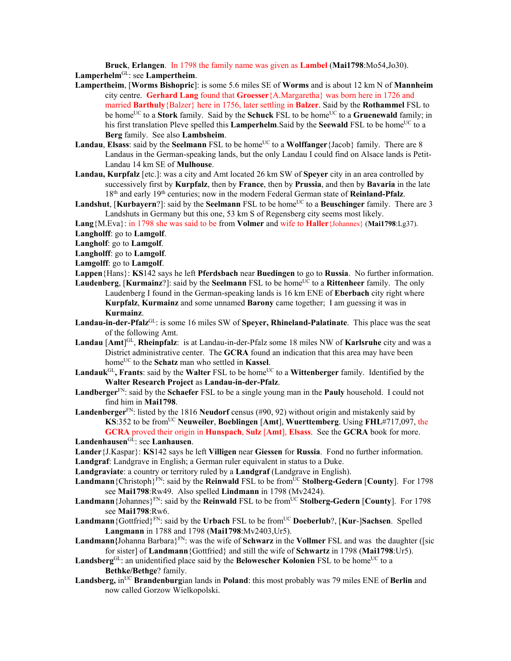**Bruck**, **Erlangen**. In 1798 the family name was given as **Lambel** (**Mai1798**:Mo54,Jo30). **Lamperhelm**GL: see **Lampertheim**.

- **Lampertheim**, [**Worms Bishopric**]: is some 5.6 miles SE of **Worms** and is about 12 km N of **Mannheim**  city centre. **Gerhard Lang** found that **Groesser**{A.Margaretha} was born here in 1726 and married **Barthuly**{Balzer} here in 1756, later settling in **Balzer**. Said by the **Rothammel** FSL to be home<sup>UC</sup> to a **Stork** family. Said by the **Schuck** FSL to be home<sup>UC</sup> to a **Gruenewald** family; in his first translation Pleve spelled this **Lamperhelm**. Said by the **Seewald** FSL to be home<sup>UC</sup> to a **Berg** family. See also **Lambsheim**.
- **Landau, Elsass**: said by the **Seelmann** FSL to be home<sup>UC</sup> to a **Wolffanger**{Jacob} family. There are 8 Landaus in the German-speaking lands, but the only Landau I could find on Alsace lands is Petit-Landau 14 km SE of **Mulhouse**.
- **Landau, Kurpfalz** [etc.]: was a city and Amt located 26 km SW of **Speyer** city in an area controlled by successively first by **Kurpfalz**, then by **France**, then by **Prussia**, and then by **Bavaria** in the late 18th and early 19th centuries; now in the modern Federal German state of **Reinland-Pfalz**.
- **Landshut, [Kurbayern?]:** said by the **Seelmann** FSL to be home<sup>UC</sup> to a **Beuschinger** family. There are 3 Landshuts in Germany but this one, 53 km S of Regensberg city seems most likely.

**Lang**{M.Eva}: in 1798 she was said to be from **Volmer** and wife to **Haller**{Johannes} (**Mai1798**:Lg37).

**Langholff**: go to **Lamgolf**.

**Langholf**: go to **Lamgolf**.

**Langholff**: go to **Lamgolf**.

**Lamgolff**: go to **Lamgolf**.

- **Lappen**{Hans}: **KS**142 says he left **Pferdsbach** near **Buedingen** to go to **Russia**. No further information.
- **Laudenberg**, [**Kurmainz**?]: said by the **Seelmann** FSL to be home<sup>UC</sup> to a **Rittenheer** family. The only Laudenberg I found in the German-speaking lands is 16 km ENE of **Eberbach** city right where **Kurpfalz**, **Kurmainz** and some unnamed **Barony** came together; I am guessing it was in **Kurmainz**.
- Landau-in-der-Pfalz<sup>GL</sup>: is some 16 miles SW of **Speyer, Rhineland-Palatinate**. This place was the seat of the following Amt.
- Landau [Amt]<sup>GL</sup>, Rheinpfalz: is at Landau-in-der-Pfalz some 18 miles NW of Karlsruhe city and was a District administrative center. The **GCRA** found an indication that this area may have been homeUC to the **Schatz** man who settled in **Kassel**.
- Landauk<sup>GL</sup>, Frants: said by the Walter FSL to be home<sup>UC</sup> to a Wittenberger family. Identified by the **Walter Research Project** as **Landau-in-der-Pfalz**.
- **Landberger**FN: said by the **Schaefer** FSL to be a single young man in the **Pauly** household. I could not find him in **Mai1798**.
- **Landenberger**FN: listed by the 1816 **Neudorf** census (#90, 92) without origin and mistakenly said by **KS**:352 to be fromUC **Neuweiler**, **Boeblingen** [**Amt**], **Wuerttemberg**. Using **FHL**#717,097, the **GCRA** proved their origin in **Hunspach**, **Sulz** [**Amt**], **Elsass**. See the **GCRA** book for more. **Landenhausen**GL: see **Lanhausen**.
- **Lander**{J.Kaspar}: **KS**142 says he left **Villigen** near **Giessen** for **Russia**. Fond no further information. **Landgraf**: Landgrave in English; a German ruler equivalent in status to a Duke.
- 
- **Landgraviate**: a country or territory ruled by a **Landgraf** (Landgrave in English).
- **Landmann** {Christoph}<sup>FN</sup>: said by the **Reinwald** FSL to be from<sup>UC</sup> **Stolberg-Gedern** [**County**]. For 1798 see **Mai1798**:Rw49. Also spelled **Lindmann** in 1798 (Mv2424).
- Landmann {Johannes}<sup>FN</sup>: said by the **Reinwald** FSL to be from<sup>UC</sup> Stolberg-Gedern [County]. For 1798 see **Mai1798**:Rw6.
- Landmann {Gottfried}<sup>FN</sup>: said by the **Urbach** FSL to be from<sup>UC</sup> Doeberlub?, [Kur-]Sachsen. Spelled **Langmann** in 1788 and 1798 (**Mai1798**:Mv2403,Ur5).
- **Landmann{**Johanna Barbara}FN: was the wife of **Schwarz** in the **Vollmer** FSL and was the daughter ([sic for sister] of **Landmann**{Gottfried} and still the wife of **Schwartz** in 1798 (**Mai1798**:Ur5).
- Landsberg<sup>GL</sup>: an unidentified place said by the **Belowescher Kolonien** FSL to be home<sup>UC</sup> to a **Bethke/Bethge**? family.
- **Landsberg, in**<sup>UC</sup> **Brandenburg**ian lands in **Poland**: this most probably was 79 miles ENE of **Berlin** and now called Gorzow Wielkopolski.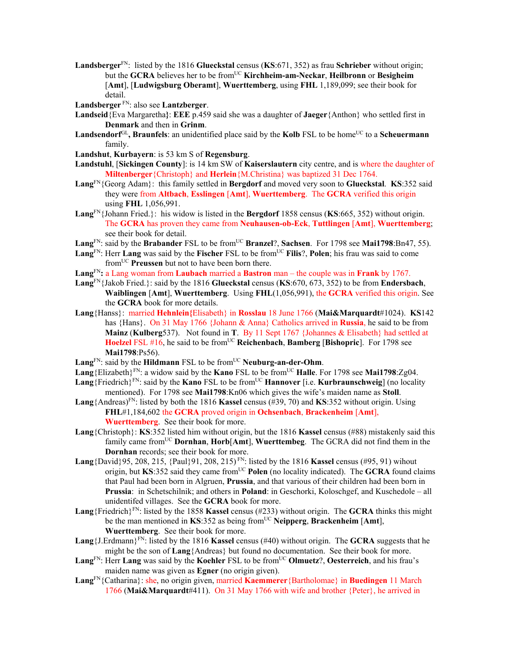- **Landsberger**FN: listed by the 1816 **Glueckstal** census (**KS**:671, 352) as frau **Schrieber** without origin; but the **GCRA** believes her to be fromUC **Kirchheim-am-Neckar**, **Heilbronn** or **Besigheim** [**Amt**], [**Ludwigsburg Oberamt**], **Wuerttemberg**, using **FHL** 1,189,099; see their book for detail.
- **Landsberger** FN: also see **Lantzberger**.
- **Landseid**{Eva Margaretha**}**: **EEE** p.459 said she was a daughter of **Jaeger**{Anthon} who settled first in **Denmark** and then in **Grinm**.
- Landsendorf<sup>GL</sup>, Braunfels: an unidentified place said by the Kolb FSL to be home<sup>UC</sup> to a Scheuermann family.
- **Landshut**, **Kurbayern**: is 53 km S of **Regensburg**.
- **Landstuhl**, [**Sickingen County**]: is 14 km SW of **Kaiserslautern** city centre, and is where the daughter of **Miltenberger**{Christoph} and **Herlein**{M.Christina} was baptized 31 Dec 1764.
- **Lang**FN{Georg Adam}: this family settled in **Bergdorf** and moved very soon to **Glueckstal**. **KS**:352 said they were from **Altbach**, **Esslingen** [**Amt**], **Wuerttemberg**. The **GCRA** verified this origin using **FHL** 1,056,991.
- **Lang**FN{Johann Fried.}: his widow is listed in the **Bergdorf** 1858 census (**KS**:665, 352) without origin. The **GCRA** has proven they came from **Neuhausen-ob-Eck**, **Tuttlingen** [**Amt**], **Wuerttemberg**; see their book for detail.
- Lang<sup>FN</sup>: said by the **Brabander** FSL to be from<sup>UC</sup> **Branzel**?, **Sachsen**. For 1798 see **Mai1798**:Bn47, 55).
- Lang<sup>FN</sup>: Herr Lang was said by the **Fischer** FSL to be from<sup>UC</sup> **Filis**?, **Polen**; his frau was said to come fromUC **Preussen** but not to have been born there.
- **Lang**FN**:** a Lang woman from **Laubach** married a **Bastron** man the couple was in **Frank** by 1767.
- **Lang**FN{Jakob Fried.}: said by the 1816 **Glueckstal** census (**KS**:670, 673, 352) to be from **Endersbach**, **Waiblingen** [**Amt**], **Wuerttemberg**. Using **FHL**(1,056,991), the **GCRA** verified this origin. See the **GCRA** book for more details.
- **Lang**{Hanss}: married **Hehnlein{**Elisabeth} in **Rosslau** 18 June 1766 (**Mai&Marquardt**#1024). **KS**142 has {Hans}. On 31 May 1766 {Johann & Anna} Catholics arrived in **Russia**, he said to be from **Mainz** (**Kulberg**537). Not found in **T**. By 11 Sept 1767 {Johannes & Elisabeth} had settled at **Hoelzel** FSL #16, he said to be from<sup>UC</sup> **Reichenbach**, **Bamberg** [Bishopric]. For 1798 see **Mai1798**:Ps56).
- Lang<sup>FN</sup>: said by the **Hildmann** FSL to be from<sup>UC</sup> **Neuburg-an-der-Ohm**.
- Lang {Elizabeth}<sup>FN</sup>: a widow said by the **Kano** FSL to be from<sup>UC</sup> **Halle**. For 1798 see **Mai1798**:Zg04.
- $\text{Lang}\{\text{Friedrich}\}^{\text{FN}}\$ : said by the **Kano** FSL to be from<sup>UC</sup> **Hannover** [i.e. **Kurbraunschweig**] (no locality mentioned). For 1798 see **Mai1798**:Kn06 which gives the wife's maiden name as **Stoll**.
- **Lang**{Andreas)FN: listed by both the 1816 **Kassel** census (#39, 70) and **KS**:352 without origin. Using **FHL**#1,184,602 the **GCRA** proved origin in **Ochsenbach**, **Brackenheim** [**Amt**], **Wuerttemberg**. See their book for more.
- **Lang**{Christoph}: **KS**:352 listed him without origin, but the 1816 **Kassel** census (#88) mistakenly said this family came fromUC **Dornhan**, **Horb**[**Amt**], **Wuerttembeg**. The GCRA did not find them in the **Dornhan** records; see their book for more.
- **Lang**{David}95, 208, 215, {Paul}91, 208, 215) FN: listed by the 1816 **Kassel** census (#95, 91) wihout origin, but **KS**:352 said they came from<sup>UC</sup> Polen (no locality indicated). The **GCRA** found claims that Paul had been born in Algruen, **Prussia**, and that various of their children had been born in **Prussia**: in Schetschilnik; and others in **Poland**: in Geschorki, Koloschgef, and Kuschedole – all unidentifed villages. See the **GCRA** book for more.
- **Lang**{Friedrich}<sup>FN</sup>: listed by the 1858 **Kassel** census (#233) without origin. The **GCRA** thinks this might be the man mentioned in **KS**:352 as being fromUC **Neipperg**, **Brackenheim** [**Amt**], **Wuerttemberg**. See their book for more.
- **Lang**{J.Erdmann}<sup>FN</sup>: listed by the 1816 **Kassel** census (#40) without origin. The **GCRA** suggests that he might be the son of **Lang**{Andreas} but found no documentation. See their book for more.
- Lang<sup>FN</sup>: Herr Lang was said by the Koehler FSL to be from<sup>UC</sup> Olmuetz?, Oesterreich, and his frau's maiden name was given as **Egner** (no origin given).
- **Lang**FN{Catharina}: she, no origin given, married **Kaemmerer**{Bartholomae} in **Buedingen** 11 March 1766 (**Mai&Marquardt**#411). On 31 May 1766 with wife and brother {Peter}, he arrived in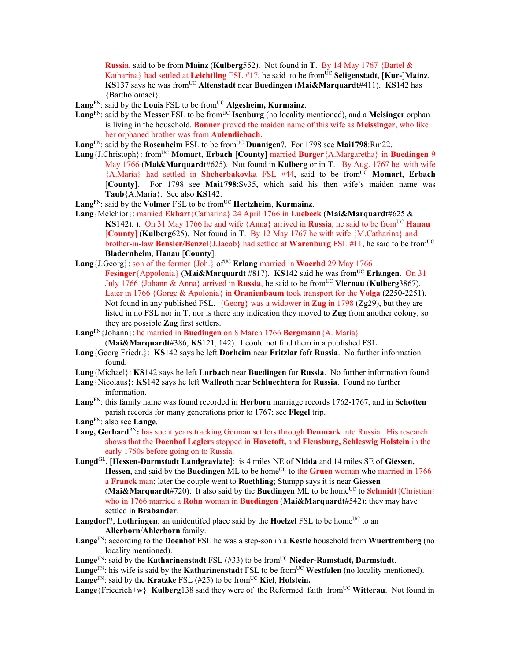**Russia**, said to be from **Mainz** (**Kulberg**552). Not found in **T**. By 14 May 1767 {Bartel & Katharina} had settled at **Leichtling** FSL #17, he said to be fromUC **Seligenstadt**, [**Kur-**]**Mainz**. **KS**137 says he was fromUC **Altenstadt** near **Buedingen** (**Mai&Marquardt**#411). **KS**142 has {Bartholomaei}.

- Lang<sup>FN</sup>: said by the Louis FSL to be from<sup>UC</sup> Algesheim, Kurmainz.
- Lang<sup>FN</sup>: said by the Messer FSL to be from<sup>UC</sup> **Isenburg** (no locality mentioned), and a Meisinger orphan is living in the household. **Bonner** proved the maiden name of this wife as **Meissinger**, who like her orphaned brother was from **Aulendiebach**.
- Lang<sup>FN</sup>: said by the **Rosenheim** FSL to be from<sup>UC</sup> Dunnigen?. For 1798 see Mai1798:Rm22.
- **Lang**{J.Christoph}: fromUC **Momart**, **Erbach** [**County**] married **Burger**{A.Margaretha} in **Buedingen** 9 May 1766 (**Mai&Marquardt**#625). Not found in **Kulberg** or in **T**. By Aug. 1767 he with wife {A.Maria} had settled in **Shcherbakovka** FSL #44, said to be fromUC **Momart**, **Erbach** [**County**]. For 1798 see **Mai1798**:Sv35, which said his then wife's maiden name was **Taub**{A.Maria}. See also **KS**142.
- Lang<sup>FN</sup>: said by the **Volmer** FSL to be from<sup>UC</sup> **Hertzheim**, **Kurmainz**.
- **Lang**{Melchior}: married **Ekhart**{Catharina} 24 April 1766 in **Luebeck** (**Mai&Marquardt**#625 & **KS**142). ). On 31 May 1766 he and wife {Anna} arrived in **Russia**, he said to be from<sup>UC</sup> **Hanau** [**County**] (**Kulberg**625). Not found in **T**. By 12 May 1767 he with wife {M.Catharina} and brother-in-law **Bensler/Benzel**{J.Jacob} had settled at **Warenburg** FSL #11, he said to be fromUC **Bladernheim**, **Hanau** [**County**].
- **Lang**{J.Georg}: son of the former {Joh.} of<sup>UC</sup> **Erlang** married in **Woerhd** 29 May 1766 **Fesinger**{Appolonia} (Mai&Marquardt #817). **KS**142 said he was from<sup>UC</sup> **Erlangen**. On 31 July 1766 {Johann & Anna} arrived in **Russia**, he said to be from<sup>UC</sup> Viernau (Kulberg3867). Later in 1766 {Gorge & Apolonia} in **Oranienbaum** took transport for the **Volga** (2250-2251). Not found in any published FSL. {Georg} was a widower in **Zug** in 1798 (Zg29), but they are listed in no FSL nor in **T**, nor is there any indication they moved to **Zug** from another colony, so they are possible **Zug** first settlers.
- **Lang**FN{Johann}: he married in **Buedingen** on 8 March 1766 **Bergmann**{A. Maria}

(**Mai&Marquardt**#386, **KS**121, 142). I could not find them in a published FSL.

- **Lang**{Georg Friedr.}: **KS**142 says he left **Dorheim** near **Fritzlar** fofr **Russia**. No further information found.
- **Lang**{Michael}: **KS**142 says he left **Lorbach** near **Buedingen** for **Russia**. No further information found.
- **Lang**{Nicolaus}: **KS**142 says he left **Wallroth** near **Schluechtern** for **Russia**. Found no further information.
- **Lang**FN: this family name was found recorded in **Herborn** marriage records 1762-1767, and in **Schotten** parish records for many generations prior to 1767; see **Flegel** trip.
- **Lang**FN: also see **Lange**.
- **Lang, Gerhard**RN**:** has spent years tracking German settlers through **Denmark** into Russia. His research shows that the **Doenhof Legler**s stopped in **Havetoft,** and **Flensburg, Schleswig Holstein** in the early 1760s before going on to Russia.
- **Langd**GL, [**Hessen-Darmstadt Landgraviate**]: is 4 miles NE of **Nidda** and 14 miles SE of **Giessen, Hessen**, and said by the **Buedingen** ML to be home<sup>UC</sup> to the **Gruen** woman who married in 1766 a **Franck** man; later the couple went to **Roethling**; Stumpp says it is near **Giessen (Mai&Marquardt**#720). It also said by the **Buedingen** ML to be home<sup>UC</sup> to **Schmidt**{Christian} who in 1766 married a **Rohn** woman in **Buedingen** (**Mai&Marquardt**#542); they may have settled in **Brabander**.
- **Langdorf**?, **Lothringen**: an unidentifed place said by the **Hoelzel** FSL to be home<sup>UC</sup> to an **Allerborn**/**Ahlerborn** family.
- **Lange**FN: according to the **Doenhof** FSL he was a step-son in a **Kestle** household from **Wuerttemberg** (no locality mentioned).

Lange<sup>FN</sup>: said by the **Katharinenstadt** FSL (#33) to be from<sup>UC</sup> Nieder-Ramstadt, Darmstadt.

Lange<sup>FN</sup>: his wife is said by the **Katharinenstadt** FSL to be from<sup>UC</sup> Westfalen (no locality mentioned). **Lange**<sup>FN</sup>: said by the **Kratzke** FSL (#25) to be from<sup>UC</sup> **Kiel**, **Holstein.** 

Lange<sup>{Friedrich+w}: **Kulberg**138 said they were of the Reformed faith from<sup>UC</sup> Witterau. Not found in</sup>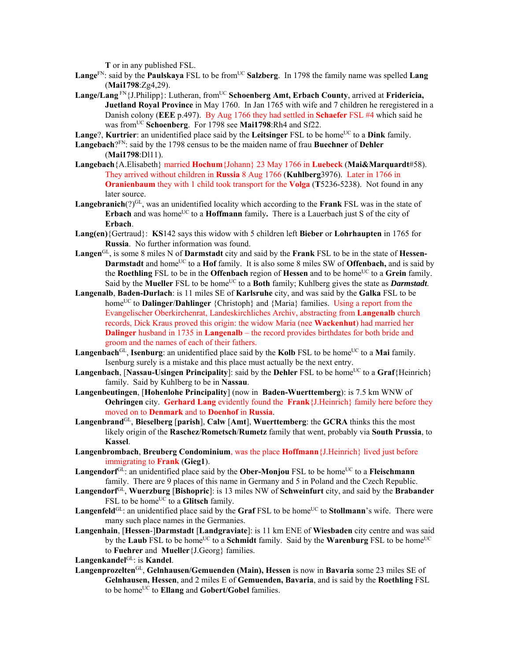**T** or in any published FSL.

- Lange<sup>FN</sup>: said by the **Paulskaya** FSL to be from<sup>UC</sup> Salzberg. In 1798 the family name was spelled Lang (**Mai1798**:Zg4,29).
- Lange/Lang<sup>FN</sup>{J.Philipp}: Lutheran, from<sup>UC</sup> Schoenberg Amt, Erbach County, arrived at Fridericia, **Juetland Royal Province** in May 1760. In Jan 1765 with wife and 7 children he reregistered in a Danish colony (**EEE** p.497). By Aug 1766 they had settled in **Schaefer** FSL #4 which said he was fromUC **Schoenberg**. For 1798 see **Mai1798**:Rh4 and Sf22.
- **Lange**?, **Kurtrier**: an unidentified place said by the **Leitsinger** FSL to be home<sup>UC</sup> to a **Dink** family.
- **Langebach**?FN: said by the 1798 census to be the maiden name of frau **Buechner** of **Dehler** (**Mai1798**:Dl11).
- **Langebach**{A.Elisabeth} married **Hochum**{Johann} 23 May 1766 in **Luebeck** (**Mai&Marquardt**#58). They arrived without children in **Russia** 8 Aug 1766 (**Kuhlberg**3976). Later in 1766 in **Oranienbaum** they with 1 child took transport for the **Volga** (**T**5236-5238). Not found in any later source.
- **Langebranich**(?)GL, was an unidentified locality which according to the **Frank** FSL was in the state of **Erbach** and was home<sup>UC</sup> to a **Hoffmann** family. There is a Lauerbach just S of the city of **Erbach**.
- **Lang(en)**{Gertraud}: **KS**142 says this widow with 5 children left **Bieber** or **Lohrhaupten** in 1765 for **Russia**. No further information was found.
- **Langen**GL, is some 8 miles N of **Darmstadt** city and said by the **Frank** FSL to be in the state of **Hessen-Darmstadt** and home<sup>UC</sup> to a **Hof** family. It is also some 8 miles SW of **Offenbach**, and is said by the **Roethling** FSL to be in the **Offenbach** region of **Hessen** and to be home<sup>UC</sup> to a **Grein** family. Said by the **Mueller** FSL to be home<sup>UC</sup> to a **Both** family; Kuhlberg gives the state as *Darmstadt*.
- **Langenalb**, **Baden-Durlach**: is 11 miles SE of **Karlsruhe** city, and was said by the **Galka** FSL to be home<sup>UC</sup> to **Dalinger/Dahlinger** {Christoph} and {Maria} families. Using a report from the Evangelischer Oberkirchenrat, Landeskirchliches Archiv, abstracting from **Langenalb** church records, Dick Kraus proved this origin: the widow Maria (nee **Wackenhut**) had married her **Dalinger** husband in 1735 in **Langenalb** – the record provides birthdates for both bride and groom and the names of each of their fathers.
- Langenbach<sup>GL</sup>, Isenburg: an unidentified place said by the Kolb FSL to be home<sup>UC</sup> to a Mai family. Isenburg surely is a mistake and this place must actually be the next entry.
- Langenbach, [Nassau-Usingen Principality]: said by the Dehler FSL to be home<sup>UC</sup> to a Graf{Heinrich} family. Said by Kuhlberg to be in **Nassau**.
- **Langenbeutingen**, [**Hohenlohe Principality**] (now in **Baden-Wuerttemberg**): is 7.5 km WNW of **Oehringen** city. **Gerhard Lang** evidently found the **Frank**{J.Heinrich} family here before they moved on to **Denmark** and to **Doenhof** in **Russia**.
- **Langenbrand**GL, **Bieselberg** [**parish**], **Calw** [**Amt**], **Wuerttemberg**: the **GCRA** thinks this the most likely origin of the **Raschez**/**Rometsch**/**Rumetz** family that went, probably via **South Prussia**, to **Kassel**.
- **Langenbrombach**, **Breuberg Condominium**, was the place **Hoffmann**{J.Heinrich} lived just before immigrating to **Frank** (**Gieg1**).
- Langendorf<sup>GL</sup>: an unidentified place said by the **Ober-Monjou** FSL to be home<sup>UC</sup> to a **Fleischmann** family. There are 9 places of this name in Germany and 5 in Poland and the Czech Republic.
- **Langendorf**GL, **Wuerzburg** [**Bishopric**]: is 13 miles NW of **Schweinfurt** city, and said by the **Brabander** FSL to be home<sup>UC</sup> to a **Glitsch** family.
- **Langenfeld**<sup>GL</sup>: an unidentified place said by the **Graf** FSL to be home<sup>UC</sup> to **Stollmann**'s wife. There were many such place names in the Germanies.
- **Langenhain**, [**Hessen**-]**Darmstadt** [**Landgraviate**]: is 11 km ENE of **Wiesbaden** city centre and was said by the **Laub** FSL to be home<sup>UC</sup> to a **Schmidt** family. Said by the **Warenburg** FSL to be home<sup>UC</sup> to **Fuehrer** and **Mueller**{J.Georg} families.
- **Langenkandel**GL: is **Kandel**.
- **Langenprozelten**GL, **Gelnhausen/Gemuenden (Main), Hessen** is now in **Bavaria** some 23 miles SE of **Gelnhausen, Hessen**, and 2 miles E of **Gemuenden, Bavaria**, and is said by the **Roethling** FSL to be home<sup>UC</sup> to **Ellang** and **Gobert/Gobel** families.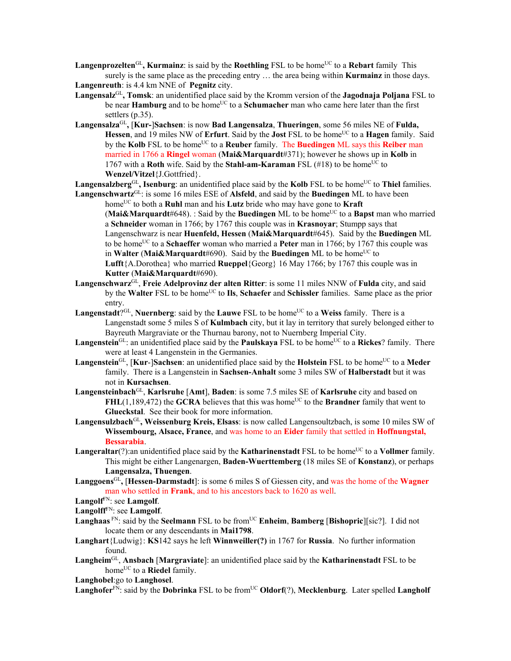- **Langenprozelten**<sup>GL</sup>, **Kurmainz**: is said by the **Roethling** FSL to be home<sup>UC</sup> to a **Rebart** family This surely is the same place as the preceding entry … the area being within **Kurmainz** in those days. **Langenreuth**: is 4.4 km NNE of **Pegnitz** city.
- **Langensalz**GL**, Tomsk**: an unidentified place said by the Kromm version of the **Jagodnaja Poljana** FSL to be near **Hamburg** and to be home<sup>UC</sup> to a **Schumacher** man who came here later than the first settlers (p.35).
- **Langensalza**GL**,** [**Kur-**]**Sachsen**: is now **Bad Langensalza**, **Thueringen**, some 56 miles NE of **Fulda, Hessen**, and 19 miles NW of **Erfurt**. Said by the **Jost** FSL to be home<sup>UC</sup> to a **Hagen** family. Said by the **Kolb** FSL to be homeUC to a **Reuber** family. The **Buedingen** ML says this **Reiber** man married in 1766 a **Ringel** woman (**Mai&Marquardt**#371); however he shows up in **Kolb** in 1767 with a **Roth** wife. Said by the **Stahl-am-Karaman** FSL  $(\#18)$  to be home<sup>UC</sup> to **Wenzel/Vitzel**{J.Gottfried}.

Langensalzberg<sup>GL</sup>, Isenburg: an unidentified place said by the Kolb FSL to be home<sup>UC</sup> to Thiel families.

- **Langenschwartz**GL: is some 16 miles ESE of **Alsfeld**, and said by the **Buedingen** ML to have been homeUC to both a **Ruhl** man and his **Lutz** bride who may have gone to **Kraft (Mai&Marquardt**#648). : Said by the **Buedingen** ML to be home<sup>UC</sup> to a **Bapst** man who married a **Schneider** woman in 1766; by 1767 this couple was in **Krasnoyar**; Stumpp says that Langenschwarz is near **Huenfeld, Hessen** (**Mai&Marquardt**#645). Said by the **Buedingen** ML to be home<sup>UC</sup> to a **Schaeffer** woman who married a **Peter** man in 1766; by 1767 this couple was in **Walter** (Mai&Marquardt#690). Said by the **Buedingen** ML to be home<sup>UC</sup> to **Lufft**{A.Dorothea} who married **Rueppel**{Georg} 16 May 1766; by 1767 this couple was in **Kutter** (**Mai&Marquardt**#690).
- **Langenschwarz**GL, **Freie Adelprovinz der alten Ritter**: is some 11 miles NNW of **Fulda** city, and said by the **Walter** FSL to be home<sup>UC</sup> to **IIs**, **Schaefer** and **Schissler** families. Same place as the prior entry.
- **Langenstadt**?<sup>GL</sup>, **Nuernberg**: said by the **Lauwe** FSL to be home<sup>UC</sup> to a **Weiss** family. There is a Langenstadt some 5 miles S of **Kulmbach** city, but it lay in territory that surely belonged either to Bayreuth Margraviate or the Thurnau barony, not to Nuernberg Imperial City.
- **Langenstein**GL: an unidentified place said by the **Paulskaya** FSL to be home<sup>UC</sup> to a **Rickes**? family. There were at least 4 Langenstein in the Germanies.
- Langenstein<sup>GL</sup>, [Kur-]Sachsen: an unidentified place said by the Holstein FSL to be home<sup>UC</sup> to a Meder family. There is a Langenstein in **Sachsen-Anhalt** some 3 miles SW of **Halberstadt** but it was not in **Kursachsen**.
- **Langensteinbach**GL, **Karlsruhe** [**Amt**], **Baden**: is some 7.5 miles SE of **Karlsruhe** city and based on **FHL**(1,189,472) the **GCRA** believes that this was home<sup>UC</sup> to the **Brandner** family that went to **Glueckstal**. See their book for more information.
- **Langensulzbach**GL**, Weissenburg Kreis, Elsass**: is now called Langensoultzbach, is some 10 miles SW of **Wissembourg, Alsace, France**, and was home to an **Eider** family that settled in **Hoffnungstal, Bessarabia**.
- **Langeraltar**(?):an unidentified place said by the **Katharinenstadt** FSL to be home<sup>UC</sup> to a **Vollmer** family. This might be either Langenargen, **Baden-Wuerttemberg** (18 miles SE of **Konstanz**), or perhaps **Langensalza, Thuengen**.
- **Langgoens**GL**,** [**Hessen-Darmstadt**]: is some 6 miles S of Giessen city, and was the home of the **Wagner** man who settled in **Frank**, and to his ancestors back to 1620 as well.

**Langolf**FN: see **Lamgolf**.

- **Langolff**FN: see **Lamgolf**.
- Langhaas<sup> FN</sup>: said by the **Seelmann** FSL to be from<sup>UC</sup> **Enheim**, **Bamberg** [Bishopric][sic?]. I did not locate them or any descendants in **Mai1798**.
- **Langhart**{Ludwig}: **KS**142 says he left **Winnweiller(?)** in 1767 for **Russia**. No further information found.
- **Langheim**GL, **Ansbach** [**Margraviate**]: an unidentified place said by the **Katharinenstadt** FSL to be home<sup>UC</sup> to a **Riedel** family.

**Langhobel**:go to **Langhosel**.

Langhofer<sup>FN</sup>: said by the **Dobrinka** FSL to be from<sup>UC</sup> **Oldorf**(?), **Mecklenburg**. Later spelled **Langholf**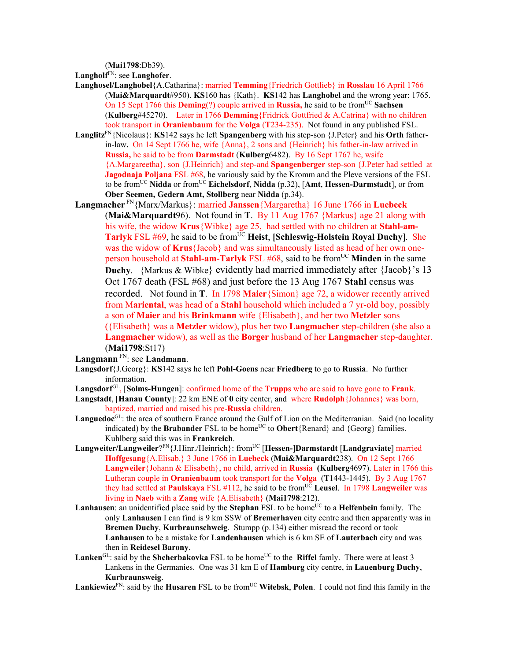(**Mai1798**:Db39).

**Langholf**FN: see **Langhofer**.

- **Langhosel/Langhobel**{A.Catharina}: married **Temming**{Friedrich Gottlieb} in **Rosslau** 16 April 1766 (**Mai&Marquardt**#950). **KS**160 has {Kath}. **KS**142 has **Langhobel** and the wrong year: 1765. On 15 Sept 1766 this **Deming**(?) couple arrived in **Russia,** he said to be fromUC **Sachsen**  (**Kulberg**#45270). Later in 1766 **Demming**{Fridrick Gottfried & A.Catrina} with no children took transport in **Oranienbaum** for the **Volga** (**T**234-235). Not found in any published FSL.
- **Langlitz**FN{Nicolaus}: **KS**142 says he left **Spangenberg** with his step-son {J.Peter} and his **Orth** fatherin-law**.** On 14 Sept 1766 he, wife {Anna}, 2 sons and {Heinrich} his father-in-law arrived in **Russia,** he said to be from **Darmstadt** (**Kulberg**6482). By 16 Sept 1767 he, wsife {A.Margareetha}, son {J.Heinrich} and step-and **Spangenberger** step-son {J.Peter had settled at **Jagodnaja Poljana** FSL #68, he variously said by the Kromm and the Pleve versions of the FSL to be fromUC **Nidda** or fromUC **Eichelsdorf**, **Nidda** (p.32), [**Amt**, **Hessen-Darmstadt**], or from **Ober Seemen, Gedern Amt, Stollberg** near **Nidda** (p.34).
- **Langmacher** FN{Marx/Markus}: married **Janssen**{Margaretha} 16 June 1766 in **Luebeck**  (**Mai&Marquardt**96). Not found in **T**. By 11 Aug 1767 {Markus} age 21 along with his wife, the widow **Krus**{Wibke} age 25, had settled with no children at **Stahl-am-Tarlyk** FSL #69, he said to be from<sup>UC</sup> Heist, [Schleswig-Holstein Royal Duchy]. She was the widow of **Krus**{Jacob} and was simultaneously listed as head of her own oneperson household at **Stahl-am-Tarlyk** FSL #68, said to be fromUC **Minden** in the same **Duchy**. {Markus & Wibke} evidently had married immediately after {Jacob}'s 13 Oct 1767 death (FSL #68) and just before the 13 Aug 1767 **Stahl** census was recorded. Not found in **T**. In 1798 **Maier**{Simon} age 72, a widower recently arrived from M**ariental**, was head of a **Stahl** household which included a 7 yr-old boy, possibly a son of **Maier** and his **Brinkmann** wife {Elisabeth}, and her two **Metzler** sons ({Elisabeth} was a **Metzler** widow), plus her two **Langmacher** step-children (she also a **Langmacher** widow), as well as the **Borger** husband of her **Langmacher** step-daughter. (**Mai1798**:St17)

**Langmann** FN: see **Landmann**.

- **Langsdorf**{J.Georg}: **KS**142 says he left **Pohl-Goens** near **Friedberg** to go to **Russia**. No further information.
- **Langsdorf**GL, [**Solms-Hungen**]: confirmed home of the **Trupp**s who are said to have gone to **Frank**.
- **Langstadt**, [**Hanau County**]: 22 km ENE of **0** city center, and where **Rudolph**{Johannes} was born, baptized, married and raised his pre-**Russia** children.
- Languedoc<sup>GL</sup>: the area of southern France around the Gulf of Lion on the Mediterranian. Said (no locality indicated) by the **Brabander** FSL to be home<sup>UC</sup> to **Obert**{Renard} and {Georg} families. Kuhlberg said this was in **Frankreich**.
- **Langweiter/Langweiler**?FN{J.Hinr./Heinrich}: fromUC [**Hessen-**]**Darmstardt** [**Landgraviate**] married **Hoffgesang**{A.Elisab.} 3 June 1766 in **Luebeck** (**Mai&Marquardt**238). On 12 Sept 1766 **Langweiler**{Johann & Elisabeth}, no child, arrived in **Russia (Kulberg**4697). Later in 1766 this Lutheran couple in **Oranienbaum** took transport for the **Volga** (**T**1443-1445). By 3 Aug 1767 they had settled at **Paulskaya** FSL #112, he said to be from<sup>UC</sup> Leusel. In 1798 Langweiler was living in **Naeb** with a **Zang** wife {A.Elisabeth} (**Mai1798**:212).
- **Lanhausen**: an unidentified place said by the **Stephan** FSL to be home<sup>UC</sup> to a **Helfenbein** family. The only **Lanhausen** I can find is 9 km SSW of **Bremerhaven** city centre and then apparently was in **Bremen Duchy**, **Kurbraunschweig**. Stumpp (p.134) either misread the record or took **Lanhausen** to be a mistake for **Landenhausen** which is 6 km SE of **Lauterbach** city and was then in **Reidesel Barony**.
- **Lanken**<sup>GL</sup>: said by the **Shcherbakovka** FSL to be home<sup>UC</sup> to the **Riffel** famly. There were at least 3 Lankens in the Germanies. One was 31 km E of **Hamburg** city centre, in **Lauenburg Duchy**, **Kurbraunsweig**.
- Lankiewiez<sup>FN</sup>: said by the **Husaren** FSL to be from<sup>UC</sup> Witebsk, Polen. I could not find this family in the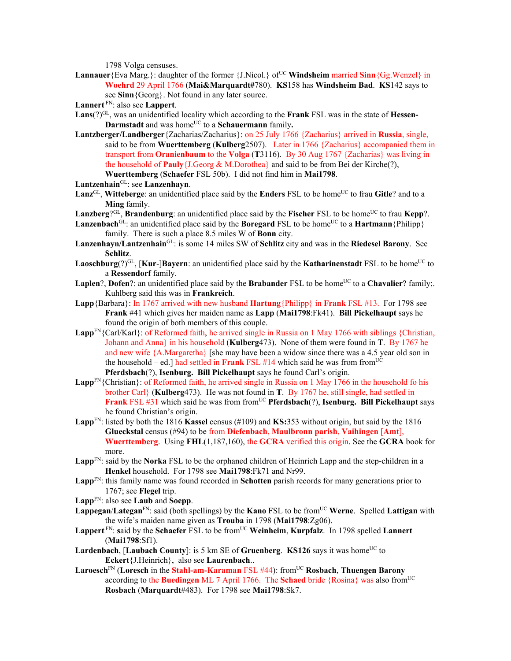1798 Volga censuses.

- **Lannauer**{Eva Marg.}: daughter of the former {J.Nicol.} of<sup>UC</sup> **Windsheim married Sinn**{Gg.Wenzel} in **Woehrd** 29 April 1766 (**Mai&Marquardt#**780). **KS**158 has **Windsheim Bad**. **KS**142 says to see **Sinn**{Georg}. Not found in any later source.
- **Lannert** FN: also see **Lappert**.
- Lans(?)<sup>GL</sup>, was an unidentified locality which according to the **Frank** FSL was in the state of **Hessen-Darmstadt** and was home<sup>UC</sup> to a **Schauermann** family.
- **Lantzberger/Landberger**{Zacharias/Zacharius}: on 25 July 1766 {Zacharius} arrived in **Russia**, single, said to be from **Wuerttemberg** (**Kulberg**2507). Later in 1766 {Zacharius} accompanied them in transport from **Oranienbaum** to the **Volga** (**T**3116). By 30 Aug 1767 {Zacharias} was living in the household of **Pauly**{J.Georg & M.Dorothea} and said to be from Bei der Kirche(?), **Wuerttemberg** (**Schaefer** FSL 50b). I did not find him in **Mai1798**.
- **Lantzenhain**GL: see **Lanzenhayn**.
- Lanz<sup>GL</sup>, Witteberge: an unidentified place said by the **Enders** FSL to be home<sup>UC</sup> to frau Gitle? and to a **Ming** family.
- Lanzberg?<sup>GL</sup>, **Brandenburg**: an unidentified place said by the **Fischer** FSL to be home<sup>UC</sup> to frau **Kepp**?.
- **Lanzenbach**<sup>GL</sup>: an unidentified place said by the **Boregard** FSL to be home<sup>UC</sup> to a **Hartmann**{Philipp} family. There is such a place 8.5 miles W of **Bonn** city.
- **Lanzenhayn/Lantzenhain**GL: is some 14 miles SW of **Schlitz** city and was in the **Riedesel Barony**. See **Schlitz**.
- **Laoschburg**(?)<sup>GL</sup>, [**Kur-]Bayern**: an unidentified place said by the **Katharinenstadt** FSL to be home<sup>UC</sup> to a **Ressendorf** family.
- **Laplen**?, **Dofen**?: an unidentified place said by the **Brabander** FSL to be home<sup>UC</sup> to a **Chavalier**? family;. Kuhlberg said this was in **Frankreich**.
- **Lapp**{Barbara}: In 1767 arrived with new husband **Hartung**{Philipp} in **Frank** FSL #13. For 1798 see **Frank** #41 which gives her maiden name as **Lapp** (**Mai1798**:Fk41). **Bill Pickelhaupt** says he found the origin of both members of this couple.
- Lapp<sup>FN</sup>{Carl/Karl}: of Reformed faith, he arrived single in Russia on 1 May 1766 with siblings {Christian, Johann and Anna} in his household (**Kulberg**473). None of them were found in **T**. By 1767 he and new wife  ${A.Margaretha}$  [she may have been a widow since there was a 4.5 year old son in the household – ed.] had settled in **Frank** FSL #14 which said he was from from<sup>UC</sup> **Pferdsbach**(?), **Isenburg. Bill Pickelhaupt** says he found Carl's origin.
- Lapp<sup>FN</sup>{Christian}: of Reformed faith, he arrived single in Russia on 1 May 1766 in the household fo his brother Carl} (**Kulberg**473). He was not found in **T**. By 1767 he, still single, had settled in **Frank** FSL #31 which said he was from from<sup>UC</sup> **Pferdsbach**(?), **Isenburg. Bill Pickelhaupt** says he found Christian's origin.
- **Lapp**FN: listed by both the 1816 **Kassel** census (#109) and **KS:**353 without origin, but said by the 1816 **Glueckstal** census (#94) to be from **Diefenbach**, **Maulbronn parish**, **Vaihingen** [**Amt**], **Wuerttemberg**. Using **FHL**(1,187,160), the **GCRA** verified this origin. See the **GCRA** book for more.
- **Lapp**FN: said by the **Norka** FSL to be the orphaned children of Heinrich Lapp and the step-children in a **Henkel** household. For 1798 see **Mai1798**:Fk71 and Nr99.
- **Lapp**FN: this family name was found recorded in **Schotten** parish records for many generations prior to 1767; see **Flegel** trip.
- **Lapp**FN: also see **Laub** and **Soepp**.
- **Lappegan/Lategan**<sup>FN</sup>: said (both spellings) by the **Kano** FSL to be from<sup>UC</sup> Werne. Spelled **Lattigan** with the wife's maiden name given as **Trouba** in 1798 (**Mai1798**:Zg06).
- **Lappert**<sup>FN</sup>: said by the **Schaefer** FSL to be from<sup>UC</sup> Weinheim, **Kurpfalz**. In 1798 spelled **Lannert** (**Mai1798**:Sf1).
- **Lardenbach**, [**Laubach County**]: is 5 km SE of **Gruenberg. KS126** says it was home<sup>UC</sup> to **Eckert**{J.Heinrich}, also see **Laurenbach**..
- **Laroesch**FN (**Loresch** in the **Stahl-am-Karaman** FSL #44): fromUC **Rosbach**, **Thuengen Barony** according to the **Buedingen** ML 7 April 1766. The **Schaed** bride {Rosina} was also fromUC **Rosbach** (**Marquardt**#483). For 1798 see **Mai1798**:Sk7.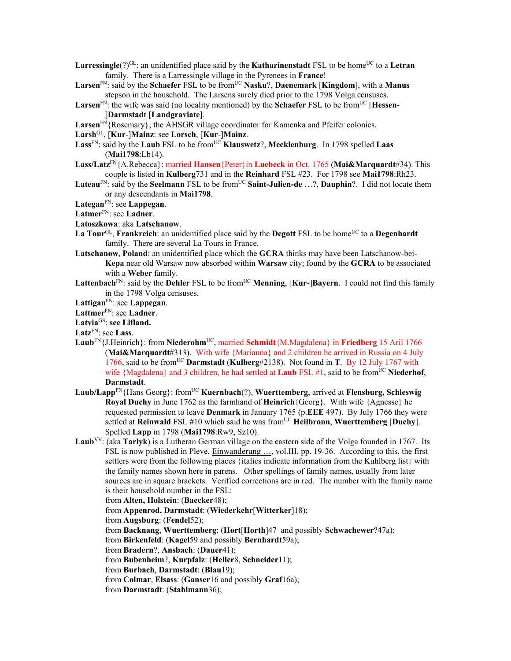- **Larressingle** $(?)^{GL}$ : an unidentified place said by the **Katharinenstadt** FSL to be home<sup>UC</sup> to a Letran family. There is a Larressingle village in the Pyrenees in **France**!
- **Larsen**FN: said by the **Schaefer** FSL to be fromUC **Nasku**?, **Daenemark** [**Kingdom**], with a **Manus** stepson in the household. The Larsens surely died prior to the 1798 Volga censuses.

# **Larsen**<sup>FN</sup>: the wife was said (no locality mentioned) by the **Schaefer** FSL to be from<sup>UC</sup> [**Hessen**-

### ]**Darmstadt** [**Landgraviate**].

Larsen<sup>FN</sup>{Rosemary}; the AHSGR village coordinator for Kamenka and Pfeifer colonies.

**Larsh**GL, [**Kur**-]**Mainz**: see **Lorsch**, [**Kur**-]**Mainz**.

- Lass<sup>FN</sup>: said by the **Laub** FSL to be from<sup>UC</sup> **Klauswetz**?, **Mecklenburg**. In 1798 spelled **Laas** (**Mai1798**:Lb14).
- **Lass/Latz**FN{A.Rebecca}: married **Hansen**{Peter}in **Luebeck** in Oct. 1765 (**Mai&Marquardt**#34). This couple is listed in **Kulberg**731 and in the **Reinhard** FSL #23. For 1798 see **Mai1798**:Rh23.
- Lateau<sup>FN</sup>: said by the **Seelmann** FSL to be from<sup>UC</sup> **Saint-Julien-de** ...?, **Dauphin**?. I did not locate them or any descendants in **Mai1798**.

**Lategan**FN: see **Lappegan**.

**Latmer**FN: see **Ladner**.

**Latoszkowa**: aka **Latschanow**.

- La Tour<sup>GL</sup>, Frankreich: an unidentified place said by the **Degott** FSL to be home<sup>UC</sup> to a **Degenhardt** family. There are several La Tours in France.
- **Latschanow**, **Poland**: an unidentified place which the **GCRA** thinks may have been Latschanow-bei-**Kepa** near old Warsaw now absorbed within **Warsaw** city; found by the **GCRA** to be associated with a **Weber** family.
- **Lattenbach**<sup>FN</sup>: said by the **Dehler** FSL to be from<sup>UC</sup> **Menning**, [**Kur-**]Bayern. I could not find this family in the 1798 Volga censuses.

**Lattigan**FN: see **Lappegan**.

**Lattmer**FN: see **Ladner**.

Latvia<sup>GS</sup>: see Lifland.

**Latz**FN: see **Lass**.

- **Laub**FN{J.Heinrich}: from **Niederohm**UC, married **Schmidt**{M.Magdalena} in **Friedberg** 15 Aril 1766 (**Mai&Marquardt**#313). With wife {Marianna} and 2 children he arrived in Russia on 4 July 1766, said to be fromUC **Darmstadt** (**Kulberg**#2138). Not found in **T**. By 12 July 1767 with wife  $\{Magdalena\}$  and 3 children, he had settled at **Laub** FSL #1, said to be from<sup>UC</sup> Niederhof, **Darmstadt**.
- Laub/Lapp<sup>FN</sup>{Hans Georg}: from<sup>UC</sup> **Kuernbach**(?), **Wuerttemberg**, arrived at **Flensburg**, Schleswig **Royal Duchy** in June 1762 as the farmhand of **Heinrich**{Georg}. With wife {Agnesse} he requested permission to leave **Denmark** in January 1765 (p.**EEE** 497). By July 1766 they were settled at **Reinwald** FSL #10 which said he was from<sup>UC</sup> **Heilbronn**, **Wuerttemberg** [Duchy]. Spelled **Lapp** in 1798 (**Mai1798**:Rw9, Sz10).
- **Laub**VV: (aka **Tarlyk**) is a Lutheran German village on the eastern side of the Volga founded in 1767. Its FSL is now published in Pleve, Einwanderung …, vol.III, pp. 19-36. According to this, the first settlers were from the following places {italics indicate information from the Kuhlberg list} with the family names shown here in parens. Other spellings of family names, usually from later sources are in square brackets. Verified corrections are in red. The number with the family name

is their household number in the FSL: from **Alten, Holstein**: (**Baecker**48); from **Appenrod, Darmstadt**: (**Wiederkehr**[**Witterker**]18); from **Augsburg**: (**Fendel**52); from **Backnang**, **Wuerttemberg**: (**Hort**[**Horth**]47 and possibly **Schwachewer**?47a); from **Birkenfeld**: (**Kagel**59 and possibly **Bernhardt**59a); from **Bradern**?, **Ansbach**: (**Dauer**41); from **Bubenheim**?, **Kurpfalz**: (**Heller**8, **Schneider**11); from **Burbach**, **Darmstadt**: (**Blau**19); from **Colmar**, **Elsass**: (**Ganser**16 and possibly **Graf**16a); from **Darmstadt**: (**Stahlmann**36);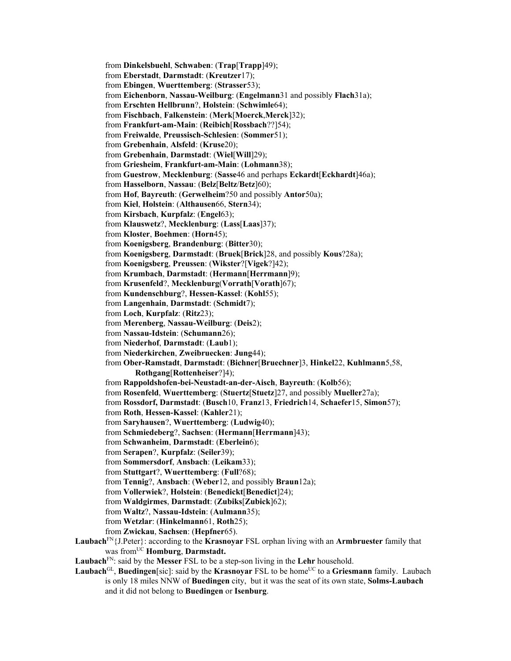from **Dinkelsbuehl**, **Schwaben**: (**Trap**[**Trapp**]49); from **Eberstadt**, **Darmstadt**: (**Kreutzer**17); from **Ebingen**, **Wuerttemberg**: (**Strasser**53); from **Eichenborn**, **Nassau-Weilburg**: (**Engelmann**31 and possibly **Flach**31a); from **Erschten Hellbrunn**?, **Holstein**: (**Schwimle**64); from **Fischbach**, **Falkenstein**: (**Merk**[**Moerck**,**Merck**]32); from **Frankfurt-am-Main**: (**Reibich**[**Rossbach**??]54); from **Freiwalde**, **Preussisch-Schlesien**: (**Sommer**51); from **Grebenhain**, **Alsfeld**: (**Kruse**20); from **Grebenhain**, **Darmstadt**: (**Wiel**[**Will**]29); from **Griesheim**, **Frankfurt-am-Main**: (**Lohmann**38); from **Guestrow**, **Mecklenburg**: (**Sasse**46 and perhaps **Eckardt**[**Eckhardt**]46a); from **Hasselborn**, **Nassau**: (**Belz**[**Beltz**/**Betz**]60); from **Hof**, **Bayreuth**: (**Gerwelheim**?50 and possibly **Antor**50a); from **Kiel**, **Holstein**: (**Althausen**66, **Stern**34); from **Kirsbach**, **Kurpfalz**: (**Engel**63); from **Klauswetz**?, **Mecklenburg**: (**Lass**[**Laas**]37); from **Kloster**, **Boehmen**: (**Horn**45); from **Koenigsberg**, **Brandenburg**: (**Bitter**30); from **Koenigsberg**, **Darmstadt**: (**Bruek**[**Brick**]28, and possibly **Kous**?28a); from **Koenigsberg**, **Preussen**: (**Wikster**?[**Vigek**?]42); from **Krumbach**, **Darmstadt**: (**Hermann**[**Herrmann**]9); from **Krusenfeld**?, **Mecklenburg**(**Vorrath**[**Vorath**]67); from **Kundenschburg**?, **Hessen-Kassel**: (**Kohl**55); from **Langenhain**, **Darmstadt**: (**Schmidt**7); from **Loch**, **Kurpfalz**: (**Ritz**23); from **Merenberg**, **Nassau-Weilburg**: (**Deis**2); from **Nassau-Idstein**: (**Schumann**26); from **Niederhof**, **Darmstadt**: (**Laub**1); from **Niederkirchen**, **Zweibruecken**: **Jung**44); from **Ober-Ramstadt**, **Darmstadt**: (**Bichner**[**Bruechner**]3, **Hinkel**22, **Kuhlmann**5,58, **Rothgang**[**Rottenheiser**?]4); from **Rappoldshofen-bei-Neustadt-an-der-Aisch**, **Bayreuth**: (**Kolb**56); from **Rosenfeld**, **Wuerttemberg**: (**Stuertz**[**Stuetz**]27, and possibly **Mueller**27a); from **Rossdorf, Darmstadt**: (**Busch**10, **Franz**13, **Friedrich**14, **Schaefer**15, **Simon**57); from **Roth**, **Hessen-Kassel**: (**Kahler**21); from **Saryhausen**?, **Wuerttemberg**: (**Ludwig**40); from **Schmiedeberg**?, **Sachsen**: (**Hermann**[**Herrmann**]43); from **Schwanheim**, **Darmstadt**: (**Eberlein**6); from **Serapen**?, **Kurpfalz**: (**Seiler**39); from **Sommersdorf**, **Ansbach**: (**Leikam**33); from **Stuttgart**?, **Wuerttemberg**: (**Full**?68); from **Tennig**?, **Ansbach**: (**Weber**12, and possibly **Braun**12a); from **Vollerwiek**?, **Holstein**: (**Benedickt**[**Benedict**]24); from **Waldgirmes**, **Darmstadt**: (**Zubiks**[**Zubick**]62); from **Waltz**?, **Nassau-Idstein**: (**Aulmann**35); from **Wetzlar**: (**Hinkelmann**61, **Roth**25); from **Zwickau**, **Sachsen**: (**Hepfner**65). **Laubach**FN{J.Peter}: according to the **Krasnoyar** FSL orphan living with an **Armbruester** family that was fromUC **Homburg**, **Darmstadt. Laubach**FN: said by the **Messer** FSL to be a step-son living in the **Lehr** household.

Laubach<sup>GL</sup>, Buedingen<sup>[sic]</sup>: said by the **Krasnovar** FSL to be home<sup>UC</sup> to a **Griesmann** family. Laubach is only 18 miles NNW of **Buedingen** city, but it was the seat of its own state, **Solms-Laubach** and it did not belong to **Buedingen** or **Isenburg**.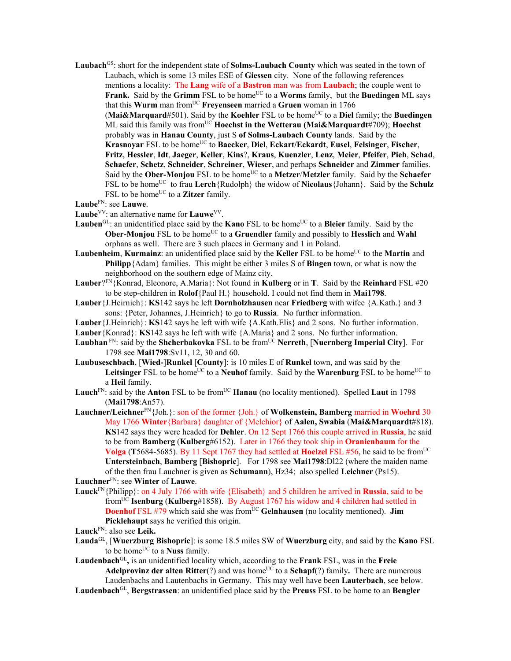- Laubach<sup>GS</sup>: short for the independent state of **Solms-Laubach County** which was seated in the town of Laubach, which is some 13 miles ESE of **Giessen** city.None of the following references mentions a locality:The **Lang** wife of a **Bastron** man was from **Laubach**; the couple went to **Frank.** Said by the **Grimm** FSL to be home<sup>UC</sup> to a **Worms** family, but the **Buedingen** ML says that this **Wurm** man fromUC **Freyenseen** married a **Gruen** woman in 1766 (Mai&Marquard#501). Said by the Koehler FSL to be home<sup>UC</sup> to a Diel family; the Buedingen ML said this family was from<sup>UC</sup> Hoechst in the Wetterau (Mai&Marquardt#709); Hoechst probably was in **Hanau County**, just S **of Solms-Laubach County** lands. Said by the **Krasnoyar** FSL to be homeUC to **Baecker**, **Diel**, **Eckart/Eckardt**, **Eusel**, **Felsinger**, **Fischer**, **Fritz**, **Hessler**, **Idt**, **Jaeger**, **Keller**, **Kins**?, **Kraus**, **Kuenzler**, **Lenz**, **Meier**, **Pfeifer**, **Pieh**, **Schad**, **Schaefer**, **Schetz**, **Schneider**, **Schreiner**, **Wieser**, and perhaps **Schneider** and **Zimmer** families. Said by the **Ober-Monjou** FSL to be home<sup>UC</sup> to a **Metzer/Metzler** family. Said by the **Schaefer** FSL to be home<sup>UC</sup> to frau **Lerch**{Rudolph} the widow of **Nicolaus**{Johann}. Said by the **Schulz** FSL to be home<sup>UC</sup> to a **Zitzer** family.
- **Laube**FN: see **Lauwe**.
- **Laube**VV: an alternative name for **Lauwe**VV.
- **Lauben**<sup>GL</sup>: an unidentified place said by the **Kano** FSL to be home<sup>UC</sup> to a **Bleier** family. Said by the **Ober-Monjou** FSL to be home<sup>UC</sup> to a **Gruendler** family and possibly to **Hesslich** and **Wahl** orphans as well. There are 3 such places in Germany and 1 in Poland.
- Laubenheim, Kurmainz: an unidentified place said by the Keller FSL to be home<sup>UC</sup> to the Martin and **Philipp**{Adam} families. This might be either 3 miles S of **Bingen** town, or what is now the neighborhood on the southern edge of Mainz city.
- **Lauber**?FN{Konrad, Eleonore, A.Maria}: Not found in **Kulberg** or in **T**. Said by the **Reinhard** FSL #20 to be step-children in **Rolof**{Paul H.} household. I could not find them in **Mai1798**.
- **Lauber**{J.Heirnich}: **KS**142 says he left **Dornholzhausen** near **Friedberg** with wifce {A.Kath.} and 3 sons: {Peter, Johannes, J.Heinrich} to go to **Russia**. No further information.
- **Lauber**{J.Heinrich}: **KS**142 says he left with wife {A.Kath.Elis} and 2 sons. No further information.
- **Lauber**{Konrad}: **KS**142 says he left with wife {A.Maria} and 2 sons. No further information.
- **Laubhan** FN: said by the **Shcherbakovka** FSL to be from<sup>UC</sup> **Nerreth**, [**Nuernberg Imperial City**]. For 1798 see **Mai1798**:Sv11, 12, 30 and 60.
- **Laubuseschbach**, [**Wied-**]**Runkel** [**County**]: is 10 miles E of **Runkel** town, and was said by the Leitsinger FSL to be home<sup>UC</sup> to a Neuhof family. Said by the Warenburg FSL to be home<sup>UC</sup> to a **Heil** family.
- Lauch<sup>FN</sup>: said by the **Anton** FSL to be from<sup>UC</sup> **Hanau** (no locality mentioned). Spelled Laut in 1798 (**Mai1798**:An57).
- **Lauchner/Leichner**FN{Joh.}: son of the former {Joh.} of **Wolkenstein, Bamberg** married in **Woehrd** 30 May 1766 **Winter**{Barbara} daughter of {Melchior} of **Aalen, Swabia** (**Mai&Marquardt**#818). **KS**142 says they were headed for **Dehler**. On 12 Sept 1766 this couple arrived in **Russia**, he said to be from **Bamberg** (**Kulberg**#6152). Later in 1766 they took ship in **Oranienbaum** for the **Volga** (**T**5684-5685). By 11 Sept 1767 they had settled at **Hoelzel** FSL #56, he said to be fromUC **Untersteinbach**, **Bamberg** [**Bishopric**]. For 1798 see **Mai1798**:Dl22 (where the maiden name of the then frau Lauchner is given as **Schumann**), Hz34; also spelled **Leichner** (Ps15).

```
LauchnerFN: see Winter of Lauwe.
```
**Lauck**FN{Philipp}: on 4 July 1766 with wife {Elisabeth} and 5 children he arrived in **Russia**, said to be fromUC **Isenburg** (**Kulberg**#1858). By August 1767 his widow and 4 children had settled in **Doenhof** FSL #79 which said she was from<sup>UC</sup> Gelnhausen (no locality mentioned). **Jim Picklehaupt** says he verified this origin.

- **Lauda**GL, [**Wuerzburg Bishopric**]: is some 18.5 miles SW of **Wuerzburg** city, and said by the **Kano** FSL to be home<sup>UC</sup> to a **Nuss** family.
- **Laudenbach**GL**,** is an unidentified locality which, according to the **Frank** FSL, was in the **Freie Adelprovinz der alten Ritter**(?) and was home<sup>UC</sup> to a **Schapf**(?) family, There are numerous Laudenbachs and Lautenbachs in Germany. This may well have been **Lauterbach**, see below.

**Laudenbach**GL, **Bergstrassen**: an unidentified place said by the **Preuss** FSL to be home to an **Bengler**

**Lauck**FN: also see **Leik.**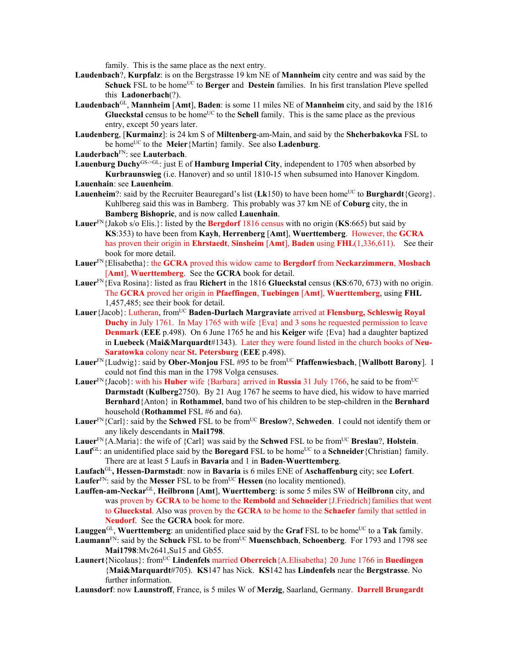family. This is the same place as the next entry.

- **Laudenbach**?, **Kurpfalz**: is on the Bergstrasse 19 km NE of **Mannheim** city centre and was said by the **Schuck** FSL to be home<sup>UC</sup> to **Berger** and **Destein** families. In his first translation Pleve spelled this **Ladonerbach**(?).
- **Laudenbach**GL, **Mannheim** [**Amt**], **Baden**: is some 11 miles NE of **Mannheim** city, and said by the 1816 Glueckstal census to be home<sup>UC</sup> to the Schell family. This is the same place as the previous entry, except 50 years later.
- **Laudenberg**, [**Kurmainz**]: is 24 km S of **Miltenberg**-am-Main, and said by the **Shcherbakovka** FSL to be home<sup>UC</sup> to the **Meier**{Martin} family. See also **Ladenburg**.
- **Lauderbach**FN: see **Lauterbach**.
- **Lauenburg Duchy**GS->GL: just E of **Hamburg Imperial City**, independent to 1705 when absorbed by **Kurbraunswieg** (i.e. Hanover) and so until 1810-15 when subsumed into Hanover Kingdom. **Lauenhain**: see **Lauenheim**.
- **Lauenheim**?: said by the Recruiter Beauregard's list (Lk150) to have been home<sup>UC</sup> to **Burghardt**{Georg}. Kuhlbereg said this was in Bamberg. This probably was 37 km NE of **Coburg** city, the in **Bamberg Bishopric**, and is now called **Lauenhain**.
- **Lauer**FN{Jakob s/o Elis.}: listed by the **Bergdorf** 1816 census with no origin (**KS**:665) but said by **KS**:353) to have been from **Kayh**, **Herrenberg** [**Amt**], **Wuerttemberg**. However, the **GCRA** has proven their origin in **Ehrstaedt**, **Sinsheim** [**Amt**], **Baden** using **FHL**(1,336,611). See their book for more detail.
- **Lauer**FN{Elisabetha}: the **GCRA** proved this widow came to **Bergdorf** from **Neckarzimmern**, **Mosbach** [**Amt**], **Wuerttemberg**. See the **GCRA** book for detail.
- **Lauer**FN{Eva Rosina}: listed as frau **Richert** in the 1816 **Glueckstal** census (**KS**:670, 673) with no origin. The **GCRA** proved her origin in **Pfaeffingen**, **Tuebingen** [**Amt**], **Wuerttemberg**, using **FHL** 1,457,485; see their book for detail.
- Lauer {Jacob}: Lutheran, from<sup>UC</sup> Baden-Durlach Margraviate arrived at **Flensburg, Schleswig Royal Duchy** in July 1761. In May 1765 with wife {Eva} and 3 sons he requested permission to leave **Denmark** (**EEE** p.498). On 6 June 1765 he and his **Keiger** wife {Eva} had a daughter baptized in **Luebeck** (**Mai&Marquardt**#1343). Later they were found listed in the church books of **Neu-Saratowka** colony near **St. Petersburg** (**EEE** p.498).
- Lauer<sup>FN</sup>{Ludwig}: said by **Ober-Monjou** FSL #95 to be from<sup>UC</sup> **Pfaffenwiesbach**, [Wallbott Barony]. I could not find this man in the 1798 Volga censuses.
- **Lauer**<sup>FN</sup>{Jacob}: with his **Huber** wife {Barbara} arrived in **Russia** 31 July 1766, he said to be from<sup>UC</sup> **Darmstadt** (**Kulberg**2750). By 21 Aug 1767 he seems to have died, his widow to have married **Bernhard**{Anton} in **Rothammel**, band two of his children to be step-children in the **Bernhard**  household (**Rothammel** FSL #6 and 6a).
- Lauer<sup>FN</sup>{Carl}: said by the **Schwed** FSL to be from<sup>UC</sup> **Breslow**?, **Schweden**. I could not identify them or any likely descendants in **Mai1798**.
- Lauer<sup>FN</sup>{A.Maria}: the wife of {Carl} was said by the **Schwed** FSL to be from<sup>UC</sup> **Breslau**?, **Holstein**.
- **Lauf**<sup>GL</sup>: an unidentified place said by the **Boregard** FSL to be home<sup>UC</sup> to a **Schneider** {Christian} family. There are at least 5 Laufs in **Bavaria** and 1 in **Baden**-**Wuerttemberg**.
- **Laufach**GL**, Hessen-Darmstadt**: now in **Bavaria** is 6 miles ENE of **Aschaffenburg** city; see **Lofert**. Laufer<sup>FN</sup>: said by the Messer FSL to be from<sup>UC</sup> Hessen (no locality mentioned).
- **Lauffen-am-Neckar**GL, **Heilbronn** [**Amt**], **Wuerttemberg**: is some 5 miles SW of **Heilbronn** city, and was proven by **GCRA** to be home to the **Rembold** and **Schneider**{J.Friedrich}families that went to **Glueckstal**. Also was proven by the **GCRA** to be home to the **Schaefer** family that settled in **Neudorf**. See the **GCRA** book for more.
- **Lauggen**<sup>GL</sup>, **Wuerttemberg**: an unidentified place said by the **Graf** FSL to be home<sup>UC</sup> to a **Tak** family.
- **Laumann**FN: said by the **Schuck** FSL to be fromUC **Muenschbach**, **Schoenberg**. For 1793 and 1798 see **Mai1798**:Mv2641,Su15 and Gb55.
- Launert {Nicolaus}: from<sup>UC</sup> Lindenfels married **Oberreich** {A.Elisabetha} 20 June 1766 in **Buedingen** {**Mai&Marquardt**#705). **KS**147 has Nick. **KS**142 has **Lindenfels** near the **Bergstrasse**. No further information.
- **Launsdorf**: now **Launstroff**, France, is 5 miles W of **Merzig**, Saarland, Germany. **Darrell Brungardt**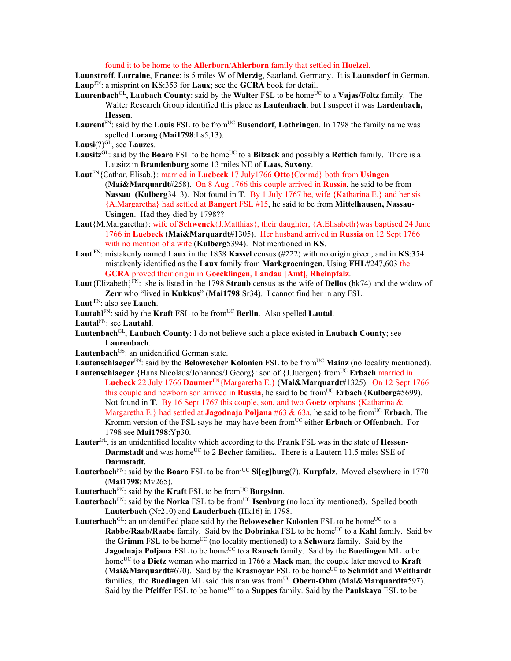found it to be home to the **Allerborn**/**Ahlerborn** family that settled in **Hoelzel**.

**Launstroff**, **Lorraine**, **France**: is 5 miles W of **Merzig**, Saarland, Germany. It is **Launsdorf** in German. **Laup**FN: a misprint on **KS**:353 for **Laux**; see the **GCRA** book for detail.

- **Laurenbach**<sup>GL</sup>, Laubach County: said by the Walter FSL to be home<sup>UC</sup> to a Vajas/Foltz family. The Walter Research Group identified this place as **Lautenbach**, but I suspect it was **Lardenbach, Hessen**.
- **Laurent**<sup>FN</sup>: said by the **Louis** FSL to be from<sup>UC</sup> Busendorf, **Lothringen**. In 1798 the family name was spelled **Lorang** (**Mai1798**:Ls5,13).
- Lausi(?)<sup>GL</sup>, see Lauzes.
- **Lausitz**<sup>GL</sup>: said by the **Boaro** FSL to be home<sup>UC</sup> to a **Bilzack** and possibly a **Rettich** family. There is a Lausitz in **Brandenburg** some 13 miles NE of **Laas, Saxony**.
- **Laut**FN{Cathar. Elisab.}: married in **Luebeck** 17 July1766 **Otto**{Conrad} both from **Usingen**  (**Mai&Marquardt**#258). On 8 Aug 1766 this couple arrived in **Russia,** he said to be from **Nassau (Kulberg**3413). Not found in **T**. By 1 July 1767 he, wife {Katharina E.} and her sis {A.Margaretha} had settled at **Bangert** FSL #15, he said to be from **Mittelhausen, Nassau**-**Usingen**. Had they died by 1798??
- **Laut**{M.Margaretha}: wife of **Schwenck**{J.Matthias}, their daughter, {A.Elisabeth}was baptised 24 June 1766 in **Luebeck** (**Mai&Marquardt**#1305). Her husband arrived in **Russia** on 12 Sept 1766 with no mention of a wife (**Kulberg**5394). Not mentioned in **KS**.
- **Laut** FN: mistakenly named **Laux** in the 1858 **Kassel** census (#222) with no origin given, and in **KS**:354 mistakenly identified as the **Laux** family from **Markgroeningen**. Using **FHL**#247,603 the **GCRA** proved their origin in **Goecklingen**, **Landau** [**Amt**], **Rheinpfalz**.
- **Laut**{Elizabeth}<sup>FN</sup>: she is listed in the 1798 **Straub** census as the wife of **Dellos** (hk74) and the widow of **Zerr** who "lived in **Kukkus**" (**Mai1798**:Sr34). I cannot find her in any FSL.
- **Laut** FN: also see **Lauch**.

**Lautahl**<sup>FN</sup>: said by the **Kraft** FSL to be from<sup>UC</sup> **Berlin**. Also spelled **Lautal**.

**Lautal**FN: see **Lautahl**.

- **Lautenbach**GL, **Laubach County**: I do not believe such a place existed in **Laubach County**; see **Laurenbach**.
- Lautenbach<sup>GS</sup>: an unidentified German state.

Lautenschlaeger<sup>FN</sup>: said by the Belowescher Kolonien FSL to be from<sup>UC</sup> Mainz (no locality mentioned). Lautenschlaeger {Hans Nicolaus/Johannes/J.Georg}: son of {J.Juergen} from<sup>UC</sup> Erbach married in

- **Luebeck** 22 July 1766 **Daumer**FN{Margaretha E.} (**Mai&Marquardt**#1325). On 12 Sept 1766 this couple and newborn son arrived in **Russia**, he said to be from<sup>UC</sup> **Erbach** (**Kulberg**#5699). Not found in **T**. By 16 Sept 1767 this couple, son, and two **Goetz** orphans {Katharina & Margaretha E.} had settled at **Jagodnaja Poljana** #63 & 63a, he said to be from<sup>UC</sup> Erbach. The Kromm version of the FSL says he may have been fromUC either **Erbach** or **Offenbach**. For 1798 see **Mai1798**:Yp30.
- **Lauter**GL, is an unidentified locality which according to the **Frank** FSL was in the state of **Hessen-Darmstadt** and was home<sup>UC</sup> to 2 **Becher** families.. There is a Lautern 11.5 miles SSE of **Darmstadt.**
- **Lauterbach**<sup>FN</sup>: said by the **Boaro** FSL to be from<sup>UC</sup> Si[eg]burg(?), **Kurpfalz**. Moved elsewhere in 1770 (**Mai1798**: Mv265).
- **Lauterbach**<sup>FN</sup>: said by the **Kraft** FSL to be from<sup>UC</sup> **Burgsinn**.
- Lauterbach<sup>FN</sup>: said by the **Norka** FSL to be from<sup>UC</sup> **Isenburg** (no locality mentioned). Spelled booth **Lauterbach** (Nr210) and **Lauderbach** (Hk16) in 1798.
- Lauterbach<sup>GL</sup>: an unidentified place said by the **Belowescher Kolonien** FSL to be home<sup>UC</sup> to a **Rabbe/Raab/Raabe** family. Said by the **Dobrinka** FSL to be home<sup>UC</sup> to a **Kahl** family. Said by the **Grimm** FSL to be home<sup>UC</sup> (no locality mentioned) to a **Schwarz** family. Said by the **Jagodnaja Poljana** FSL to be home<sup>UC</sup> to a **Rausch** family. Said by the **Buedingen** ML to be homeUC to a **Dietz** woman who married in 1766 a **Mack** man; the couple later moved to **Kraft (Mai&Marquardt**#670). Said by the **Krasnovar** FSL to be home<sup>UC</sup> to **Schmidt** and **Weithardt** families; the **Buedingen** ML said this man was from<sup>UC</sup> Obern-Ohm (Mai&Marquardt#597). Said by the **Pfeiffer** FSL to be home<sup>UC</sup> to a **Suppes** family. Said by the **Paulskaya** FSL to be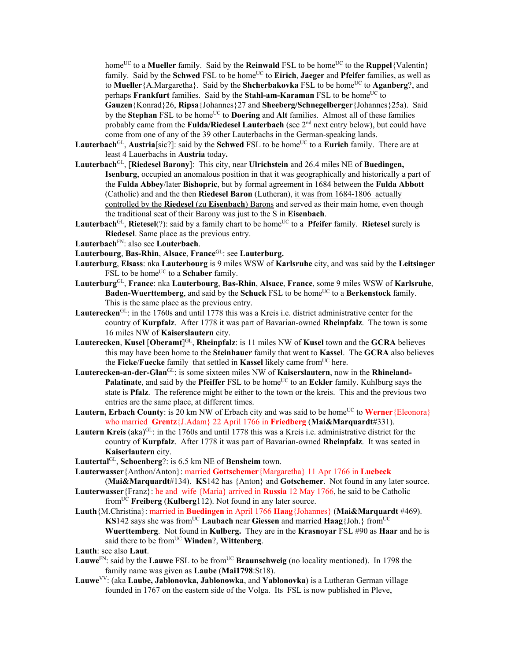home<sup>UC</sup> to a **Mueller** family. Said by the **Reinwald** FSL to be home<sup>UC</sup> to the **Ruppel**{Valentin} family. Said by the **Schwed** FSL to be home<sup>UC</sup> to **Eirich**, Jaeger and Pfeifer families, as well as to **Mueller**{A.Margaretha}. Said by the **Shcherbakovka** FSL to be home<sup>UC</sup> to **Aganberg**?, and perhaps **Frankfurt** families. Said by the **Stahl-am-Karaman** FSL to be home<sup>UC</sup> to **Gauzen**{Konrad}26, **Ripsa**{Johannes}27 and **Sheeberg/Schnegelberger**{Johannes}25a). Said by the **Stephan** FSL to be home<sup>UC</sup> to **Doering** and Alt families. Almost all of these families probably came from the **Fulda/Riedesel Lauterbach** (see 2nd next entry below), but could have come from one of any of the 39 other Lauterbachs in the German-speaking lands.

- **Lauterbach**<sup>GL</sup>, **Austria**[sic?]: said by the **Schwed** FSL to be home<sup>UC</sup> to a **Eurich** family. There are at least 4 Lauerbachs in **Austria** today**.**
- **Lauterbach**GL, [**Riedesel Barony**]: This city, near **Ulrichstein** and 26.4 miles NE of **Buedingen, Isenburg**, occupied an anomalous position in that it was geographically and historically a part of the **Fulda Abbey**/later **Bishopric**, but by formal agreement in 1684 between the **Fulda Abbott** (Catholic) and and the then **Riedesel Baron** (Lutheran), it was from 1684-1806 actually controlled by the **Riedesel** (zu **Eisenbach**) Barons and served as their main home, even though the traditional seat of their Barony was just to the S in **Eisenbach**.
- **Lauterbach**<sup>GL</sup>, **Rietesel**(?): said by a family chart to be home<sup>UC</sup> to a **Pfeifer** family. **Rietesel** surely is **Riedesel**. Same place as the previous entry.
- **Lauterbach**FN: also see **Louterbach**.
- **Lauterbourg**, **Bas-Rhin**, **Alsace**, **France**GL: see **Lauterburg.**
- **Lauterburg**, **Elsass**: nka **Lauterbourg** is 9 miles WSW of **Karlsruhe** city, and was said by the **Leitsinger** FSL to be home<sup>UC</sup> to a **Schaber** family.
- **Lauterburg**GL, **France**: nka **Lauterbourg**, **Bas-Rhin**, **Alsace**, **France**, some 9 miles WSW of **Karlsruhe**, **Baden-Wuerttemberg**, and said by the **Schuck** FSL to be home<sup>UC</sup> to a **Berkenstock** family. This is the same place as the previous entry.
- Lauterecken<sup>GL</sup>: in the 1760s and until 1778 this was a Kreis i.e. district administrative center for the country of **Kurpfalz**. After 1778 it was part of Bavarian-owned **Rheinpfalz**. The town is some 16 miles NW of **Kaiserslautern** city.
- Lauterecken, Kusel [Oberamt]<sup>GL</sup>, Rheinpfalz: is 11 miles NW of Kusel town and the GCRA believes this may have been home to the **Steinhauer** family that went to **Kassel**. The **GCRA** also believes the **Ficke/Fuecke** family that settled in **Kassel** likely came from<sup>UC</sup> here.
- Lauterecken-an-der-Glan<sup>GL</sup>: is some sixteen miles NW of Kaiserslautern, now in the Rhineland-**Palatinate**, and said by the **Pfeiffer** FSL to be home<sup>UC</sup> to an **Eckler** family. Kuhlburg says the state is **Pfalz**. The reference might be either to the town or the kreis. This and the previous two entries are the same place, at different times.
- **Lautern, Erbach County**: is 20 km NW of Erbach city and was said to be home<sup>UC</sup> to **Werner** {Eleonora} who married **Grentz**{J.Adam} 22 April 1766 in **Friedberg** (**Mai&Marquardt**#331).
- **Lautern Kreis** (aka) $\text{GL}:$  in the 1760s and until 1778 this was a Kreis i.e. administrative district for the country of **Kurpfalz**. After 1778 it was part of Bavarian-owned **Rheinpfalz**. It was seated in **Kaiserlautern** city.
- **Lautertal**GL, **Schoenberg**?: is 6.5 km NE of **Bensheim** town.
- **Lauterwasser**{Anthon/Anton}: married **Gottschemer**{Margaretha} 11 Apr 1766 in **Luebeck**  (**Mai&Marquardt**#134). **KS**142 has {Anton} and **Gotschemer**. Not found in any later source.
- **Lauterwasser**{Franz}: he and wife {Maria} arrived in **Russia** 12 May 1766, he said to be Catholic fromUC **Freiberg** (**Kulberg**112). Not found in any later source.
- **Lauth**{M.Christina}: married in **Buedingen** in April 1766 **Haag**{Johannes} (**Mai&Marquardt** #469). **KS**142 says she was from<sup>UC</sup> **Laubach** near **Giessen** and married **Haag**{Joh.} from<sup>UC</sup> **Wuerttemberg**. Not found in **Kulberg.** They are in the **Krasnoyar** FSL #90 as **Haar** and he is said there to be from<sup>UC</sup> Winden?, Wittenberg.

**Lauth**: see also **Laut**.

- Lauwe<sup>FN</sup>: said by the Lauwe FSL to be from<sup>UC</sup> Braunschweig (no locality mentioned). In 1798 the family name was given as **Laube** (**Mai1798**:St18).
- **Lauwe**VV: (aka **Laube, Jablonovka, Jablonowka**, and **Yablonovka**) is a Lutheran German village founded in 1767 on the eastern side of the Volga. Its FSL is now published in Pleve,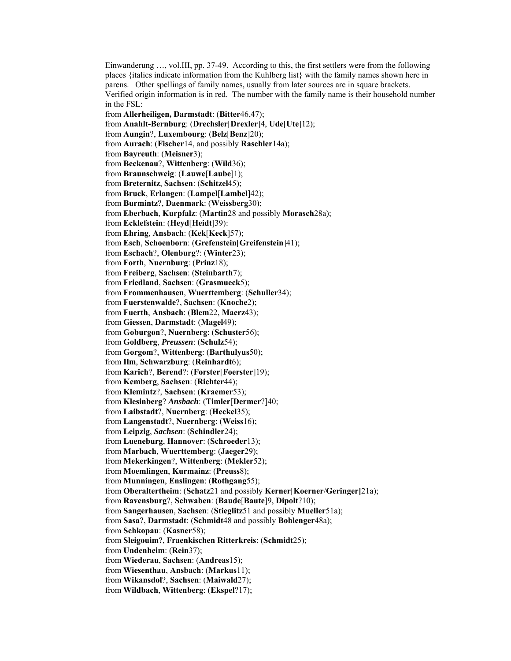Einwanderung …, vol.III, pp. 37-49. According to this, the first settlers were from the following places {italics indicate information from the Kuhlberg list} with the family names shown here in parens. Other spellings of family names, usually from later sources are in square brackets. Verified origin information is in red. The number with the family name is their household number in the FSL: from **Allerheiligen, Darmstadt**: (**Bitter**46,47); from **Anahlt-Bernburg**: (**Drechsler**[**Drexler**]4, **Ude**[**Ute**]12); from **Aungin**?, **Luxembourg**: (**Belz**[**Benz**]20); from **Aurach**: (**Fischer**14, and possibly **Raschler**14a); from **Bayreuth**: (**Meisner**3); from **Beckenau**?, **Wittenberg**: (**Wild**36); from **Braunschweig**: (**Lauwe**[**Laube**]1); from **Breternitz**, **Sachsen**: (**Schitzel**45); from **Bruck**, **Erlangen**: (**Lampel**[**Lambel**]42); from **Burmintz**?, **Daenmark**: (**Weissberg**30); from **Eberbach**, **Kurpfalz**: (**Martin**28 and possibly **Morasch**28a); from **Ecklefstein**: (**Heyd**[**Heidt**]39): from **Ehring**, **Ansbach**: (**Kek**[**Keck**]57); from **Esch**, **Schoenborn**: (**Grefenstein**[**Greifenstein**]41); from **Eschach**?, **Olenburg**?: (**Winter**23); from **Forth**, **Nuernburg**: (**Prinz**18); from **Freiberg**, **Sachsen**: (**Steinbarth**7); from **Friedland**, **Sachsen**: (**Grasmueck**5); from **Frommenhausen**, **Wuerttemberg**: (**Schuller**34); from **Fuerstenwalde**?, **Sachsen**: (**Knoche**2); from **Fuerth**, **Ansbach**: (**Blem**22, **Maerz**43); from **Giessen**, **Darmstadt**: (**Magel**49); from **Goburgon**?, **Nuernberg**: (**Schuster**56); from **Goldberg**, *Preussen*: (**Schulz**54); from **Gorgom**?, **Wittenberg**: (**Barthulyus**50); from **Ilm**, **Schwarzburg**: (**Reinhardt**6); from **Karich**?, **Berend**?: (**Forster**[**Foerster**]19); from **Kemberg**, **Sachsen**: (**Richter**44); from **Klemintz**?, **Sachsen**: (**Kraemer**53); from **Klesinberg**? *Ansbach*: (**Timler**[**Dermer**?]40; from **Laibstadt**?, **Nuernberg**: (**Heckel**35); from **Langenstadt**?, **Nuernberg**: (**Weiss**16); from **Leipzig**, *Sachsen*: (**Schindler**24); from **Lueneburg**, **Hannover**: (**Schroeder**13); from **Marbach**, **Wuerttemberg**: (**Jaeger**29); from **Mekerkingen**?, **Wittenberg**: (**Mekler**52); from **Moemlingen**, **Kurmainz**: (**Preuss**8); from **Munningen**, **Enslingen**: (**Rothgang**55); from **Oberaltertheim**: (**Schatz**21 and possibly **Kerner**[**Koerner**/**Geringer]**21a); from **Ravensburg**?, **Schwaben**: (**Baude**[**Baute**]9, **Dipolt**?10); from **Sangerhausen**, **Sachsen**: (**Stieglitz**51 and possibly **Mueller**51a); from **Sasa**?, **Darmstadt**: (**Schmidt**48 and possibly **Bohlenger**48a); from **Schkopau**: (**Kasner**58); from **Sleigouim**?, **Fraenkischen Ritterkreis**: (**Schmidt**25); from **Undenheim**: (**Rein**37); from **Wiederau**, **Sachsen**: (**Andreas**15); from **Wiesenthau**, **Ansbach**: (**Markus**11); from **Wikansdol**?, **Sachsen**: (**Maiwald**27); from **Wildbach**, **Wittenberg**: (**Ekspel**?17);